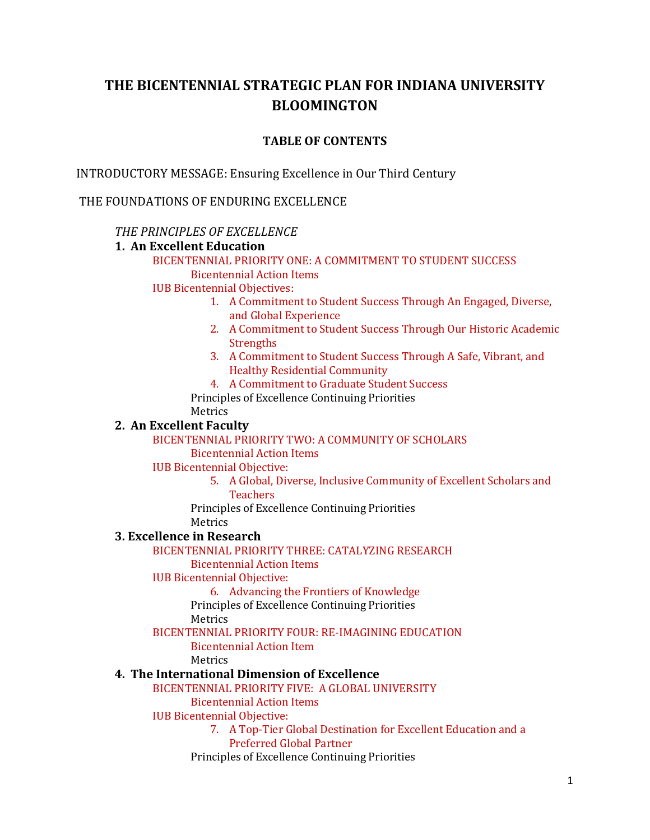# **THE BICENTENNIAL STRATEGIC PLAN FOR INDIANA UNIVERSITY BLOOMINGTON**

## **TABLE OF CONTENTS**

INTRODUCTORY MESSAGE: Ensuring Excellence in Our Third Century

THE FOUNDATIONS OF ENDURING EXCELLENCE

## *THE PRINCIPLES OF EXCELLENCE*

## **1. An Excellent Education**

BICENTENNIAL PRIORITY ONE: A COMMITMENT TO STUDENT SUCCESS Bicentennial Action Items

IUB Bicentennial Objectives:

- 1. A Commitment to Student Success Through An Engaged, Diverse, and Global Experience
- 2. A Commitment to Student Success Through Our Historic Academic **Strengths**
- 3. A Commitment to Student Success Through A Safe, Vibrant, and Healthy Residential Community
- 4. A Commitment to Graduate Student Success

Principles of Excellence Continuing Priorities Metrics

## **2. An Excellent Faculty**

BICENTENNIAL PRIORITY TWO: A COMMUNITY OF SCHOLARS

Bicentennial Action Items

IUB Bicentennial Objective:

5. A Global, Diverse, Inclusive Community of Excellent Scholars and **Teachers** 

Principles of Excellence Continuing Priorities

Metrics

## **3. Excellence in Research**

BICENTENNIAL PRIORITY THREE: CATALYZING RESEARCH

Bicentennial Action Items

## IUB Bicentennial Objective:

6. Advancing the Frontiers of Knowledge

Principles of Excellence Continuing Priorities

Metrics

## BICENTENNIAL PRIORITY FOUR: RE-IMAGINING EDUCATION

Bicentennial Action Item

Metrics

## **4. The International Dimension of Excellence**

BICENTENNIAL PRIORITY FIVE: A GLOBAL UNIVERSITY

Bicentennial Action Items

IUB Bicentennial Objective:

7. A Top-Tier Global Destination for Excellent Education and a Preferred Global Partner

Principles of Excellence Continuing Priorities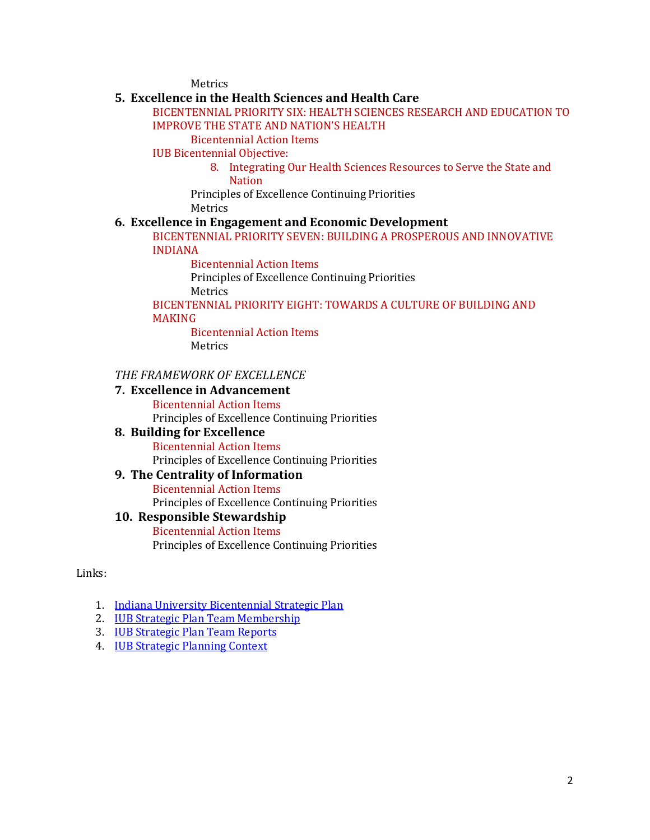Metrics

## **5. Excellence in the Health Sciences and Health Care**

### BICENTENNIAL PRIORITY SIX: HEALTH SCIENCES RESEARCH AND EDUCATION TO IMPROVE THE STATE AND NATION'S HEALTH

Bicentennial Action Items

IUB Bicentennial Objective:

8. Integrating Our Health Sciences Resources to Serve the State and **Nation** 

Principles of Excellence Continuing Priorities

Metrics

## **6. Excellence in Engagement and Economic Development**

BICENTENNIAL PRIORITY SEVEN: BUILDING A PROSPEROUS AND INNOVATIVE INDIANA

Bicentennial Action Items

Principles of Excellence Continuing Priorities Metrics

BICENTENNIAL PRIORITY EIGHT: TOWARDS A CULTURE OF BUILDING AND MAKING

Bicentennial Action Items Metrics

## *THE FRAMEWORK OF EXCELLENCE*

#### **7. Excellence in Advancement**

Bicentennial Action Items Principles of Excellence Continuing Priorities

## **8. Building for Excellence**

Bicentennial Action Items

Principles of Excellence Continuing Priorities

## **9. The Centrality of Information**

Bicentennial Action Items Principles of Excellence Continuing Priorities

## **10. Responsible Stewardship**

Bicentennial Action Items Principles of Excellence Continuing Priorities

Links:

- 1. [Indiana University Bicentennial Strategic Plan](https://strategicplan.iu.edu/)
- 2. [IUB Strategic Plan Team Membership](http://provost.indiana.edu/docs/IUB-SP-Membership.pdf)
- 3. IUB [Strategic Plan Team Reports](http://provost.indiana.edu/plan/team%20reports.shtml)
- 4. [IUB Strategic Planning Context](http://provost.indiana.edu/plan/supporting%20materials.shtml)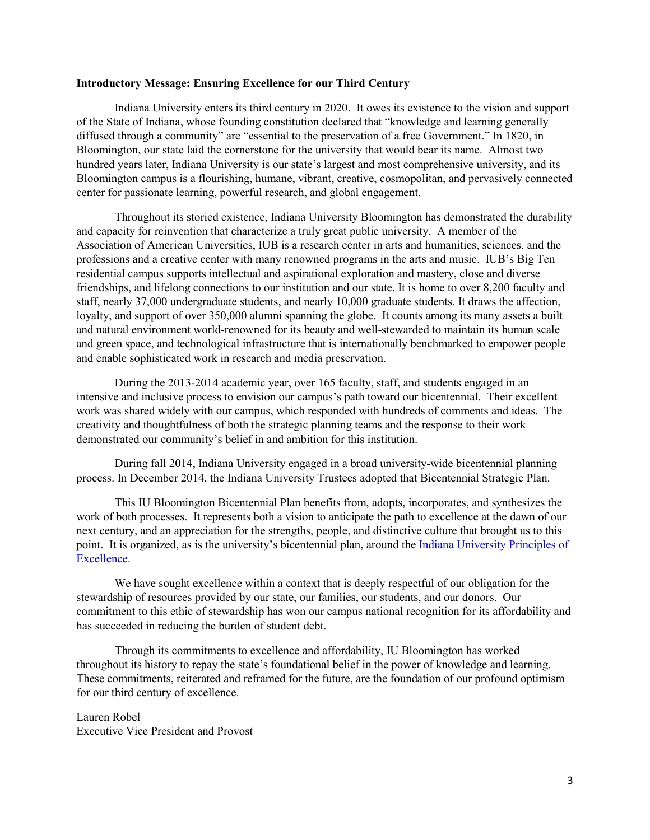#### **Introductory Message: Ensuring Excellence for our Third Century**

Indiana University enters its third century in 2020. It owes its existence to the vision and support of the State of Indiana, whose founding constitution declared that "knowledge and learning generally diffused through a community" are "essential to the preservation of a free Government." In 1820, in Bloomington, our state laid the cornerstone for the university that would bear its name. Almost two hundred years later, Indiana University is our state's largest and most comprehensive university, and its Bloomington campus is a flourishing, humane, vibrant, creative, cosmopolitan, and pervasively connected center for passionate learning, powerful research, and global engagement.

Throughout its storied existence, Indiana University Bloomington has demonstrated the durability and capacity for reinvention that characterize a truly great public university. A member of the Association of American Universities, IUB is a research center in arts and humanities, sciences, and the professions and a creative center with many renowned programs in the arts and music. IUB's Big Ten residential campus supports intellectual and aspirational exploration and mastery, close and diverse friendships, and lifelong connections to our institution and our state. It is home to over 8,200 faculty and staff, nearly 37,000 undergraduate students, and nearly 10,000 graduate students. It draws the affection, loyalty, and support of over 350,000 alumni spanning the globe. It counts among its many assets a built and natural environment world-renowned for its beauty and well-stewarded to maintain its human scale and green space, and technological infrastructure that is internationally benchmarked to empower people and enable sophisticated work in research and media preservation.

 During the 2013-2014 academic year, over 165 faculty, staff, and students engaged in an intensive and inclusive process to envision our campus's path toward our bicentennial. Their excellent work was shared widely with our campus, which responded with hundreds of comments and ideas. The creativity and thoughtfulness of both the strategic planning teams and the response to their work demonstrated our community's belief in and ambition for this institution.

During fall 2014, Indiana University engaged in a broad university-wide bicentennial planning process. In December 2014, the Indiana University Trustees adopted that Bicentennial Strategic Plan.

This IU Bloomington Bicentennial Plan benefits from, adopts, incorporates, and synthesizes the work of both processes. It represents both a vision to anticipate the path to excellence at the dawn of our next century, and an appreciation for the strengths, people, and distinctive culture that brought us to this point. It is organized, as is the university's bicentennial plan, around th[e Indiana University Principles of](http://president.iu.edu/initiatives/principles.shtml)  [Excellence.](http://president.iu.edu/initiatives/principles.shtml)

We have sought excellence within a context that is deeply respectful of our obligation for the stewardship of resources provided by our state, our families, our students, and our donors. Our commitment to this ethic of stewardship has won our campus national recognition for its affordability and has succeeded in reducing the burden of student debt.

Through its commitments to excellence and affordability, IU Bloomington has worked throughout its history to repay the state's foundational belief in the power of knowledge and learning. These commitments, reiterated and reframed for the future, are the foundation of our profound optimism for our third century of excellence.

Lauren Robel Executive Vice President and Provost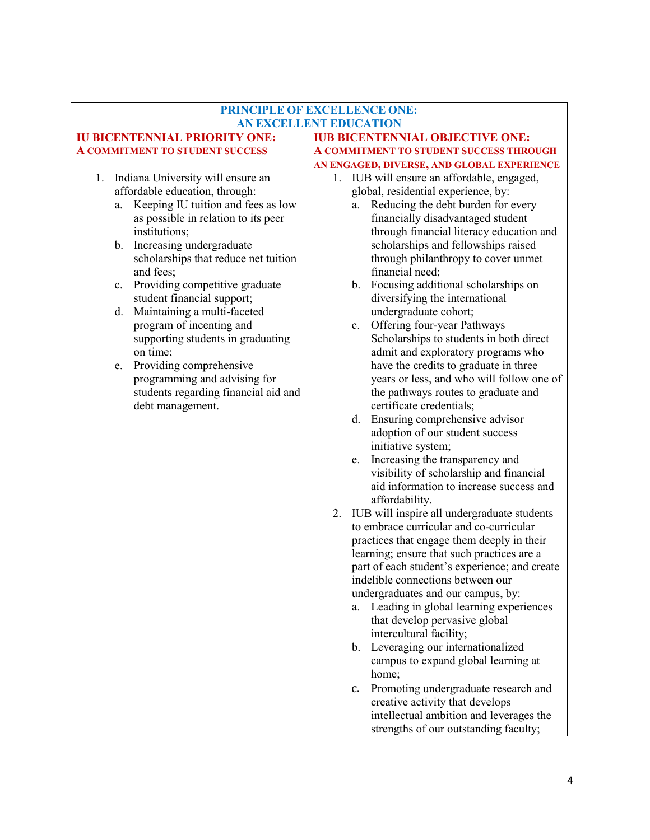| PRINCIPLE OF EXCELLENCE ONE:<br><b>AN EXCELLENT EDUCATION</b> |                                                                                             |  |
|---------------------------------------------------------------|---------------------------------------------------------------------------------------------|--|
| <b>IU BICENTENNIAL PRIORITY ONE:</b>                          | <b>IUB BICENTENNIAL OBJECTIVE ONE:</b>                                                      |  |
| <b>A COMMITMENT TO STUDENT SUCCESS</b>                        | A COMMITMENT TO STUDENT SUCCESS THROUGH                                                     |  |
|                                                               | AN ENGAGED, DIVERSE, AND GLOBAL EXPERIENCE                                                  |  |
| 1. Indiana University will ensure an                          | 1. IUB will ensure an affordable, engaged,                                                  |  |
| affordable education, through:                                | global, residential experience, by:                                                         |  |
| Keeping IU tuition and fees as low<br>a.                      | Reducing the debt burden for every<br>a.                                                    |  |
| as possible in relation to its peer                           | financially disadvantaged student                                                           |  |
| institutions;                                                 | through financial literacy education and                                                    |  |
| b. Increasing undergraduate                                   | scholarships and fellowships raised                                                         |  |
| scholarships that reduce net tuition                          | through philanthropy to cover unmet                                                         |  |
| and fees;                                                     | financial need;                                                                             |  |
| Providing competitive graduate<br>c.                          | b. Focusing additional scholarships on                                                      |  |
| student financial support;                                    | diversifying the international                                                              |  |
| Maintaining a multi-faceted<br>d.                             | undergraduate cohort;                                                                       |  |
| program of incenting and                                      | Offering four-year Pathways<br>c.                                                           |  |
| supporting students in graduating<br>on time;                 | Scholarships to students in both direct<br>admit and exploratory programs who               |  |
| e. Providing comprehensive                                    | have the credits to graduate in three                                                       |  |
| programming and advising for                                  | years or less, and who will follow one of                                                   |  |
| students regarding financial aid and                          | the pathways routes to graduate and                                                         |  |
| debt management.                                              | certificate credentials;                                                                    |  |
|                                                               | d. Ensuring comprehensive advisor                                                           |  |
|                                                               | adoption of our student success                                                             |  |
|                                                               | initiative system;                                                                          |  |
|                                                               | Increasing the transparency and<br>e.                                                       |  |
|                                                               | visibility of scholarship and financial                                                     |  |
|                                                               | aid information to increase success and                                                     |  |
|                                                               | affordability.                                                                              |  |
|                                                               | IUB will inspire all undergraduate students<br>2.                                           |  |
|                                                               | to embrace curricular and co-curricular                                                     |  |
|                                                               | practices that engage them deeply in their                                                  |  |
|                                                               | learning; ensure that such practices are a<br>part of each student's experience; and create |  |
|                                                               | indelible connections between our                                                           |  |
|                                                               | undergraduates and our campus, by:                                                          |  |
|                                                               | Leading in global learning experiences<br>a.                                                |  |
|                                                               | that develop pervasive global                                                               |  |
|                                                               | intercultural facility;                                                                     |  |
|                                                               | b. Leveraging our internationalized                                                         |  |
|                                                               | campus to expand global learning at                                                         |  |
|                                                               | home;                                                                                       |  |
|                                                               | Promoting undergraduate research and<br>c.                                                  |  |
|                                                               | creative activity that develops                                                             |  |
|                                                               | intellectual ambition and leverages the                                                     |  |
|                                                               | strengths of our outstanding faculty;                                                       |  |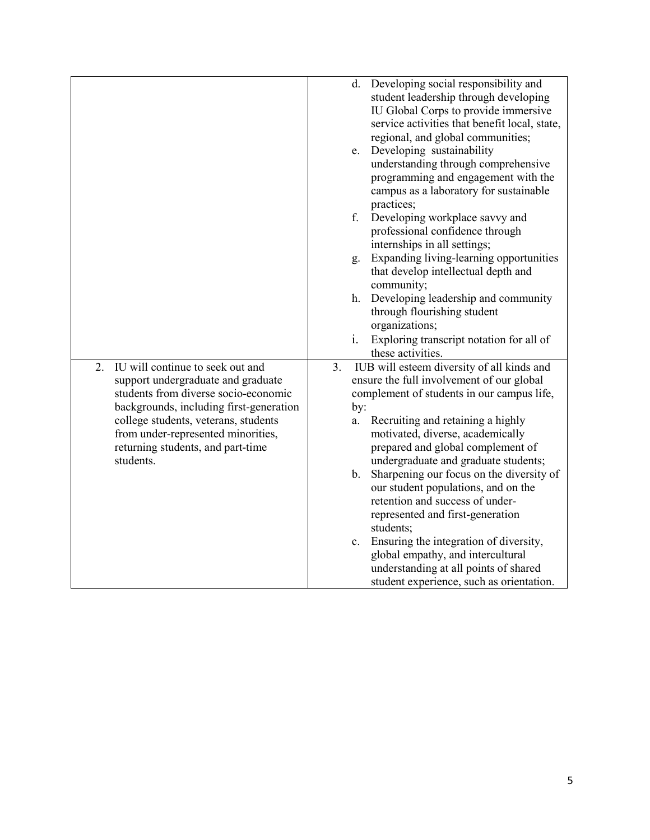|                                                                                                                                                                                                                                                                                                 | d. Developing social responsibility and<br>student leadership through developing<br>IU Global Corps to provide immersive<br>service activities that benefit local, state,<br>regional, and global communities;                                                                                                 |
|-------------------------------------------------------------------------------------------------------------------------------------------------------------------------------------------------------------------------------------------------------------------------------------------------|----------------------------------------------------------------------------------------------------------------------------------------------------------------------------------------------------------------------------------------------------------------------------------------------------------------|
|                                                                                                                                                                                                                                                                                                 | e. Developing sustainability<br>understanding through comprehensive<br>programming and engagement with the<br>campus as a laboratory for sustainable<br>practices;                                                                                                                                             |
|                                                                                                                                                                                                                                                                                                 | f.<br>Developing workplace savvy and<br>professional confidence through<br>internships in all settings;                                                                                                                                                                                                        |
|                                                                                                                                                                                                                                                                                                 | Expanding living-learning opportunities<br>g.<br>that develop intellectual depth and<br>community;                                                                                                                                                                                                             |
|                                                                                                                                                                                                                                                                                                 | h. Developing leadership and community<br>through flourishing student<br>organizations;                                                                                                                                                                                                                        |
|                                                                                                                                                                                                                                                                                                 | Exploring transcript notation for all of<br>$\mathbf{i}$ .<br>these activities.                                                                                                                                                                                                                                |
| IU will continue to seek out and<br>2.<br>support undergraduate and graduate<br>students from diverse socio-economic<br>backgrounds, including first-generation<br>college students, veterans, students<br>from under-represented minorities,<br>returning students, and part-time<br>students. | IUB will esteem diversity of all kinds and<br>3.<br>ensure the full involvement of our global<br>complement of students in our campus life,<br>by:<br>Recruiting and retaining a highly<br>a.<br>motivated, diverse, academically<br>prepared and global complement of<br>undergraduate and graduate students; |
|                                                                                                                                                                                                                                                                                                 | b. Sharpening our focus on the diversity of<br>our student populations, and on the<br>retention and success of under-<br>represented and first-generation<br>students;                                                                                                                                         |
|                                                                                                                                                                                                                                                                                                 | c. Ensuring the integration of diversity,<br>global empathy, and intercultural<br>understanding at all points of shared<br>student experience, such as orientation.                                                                                                                                            |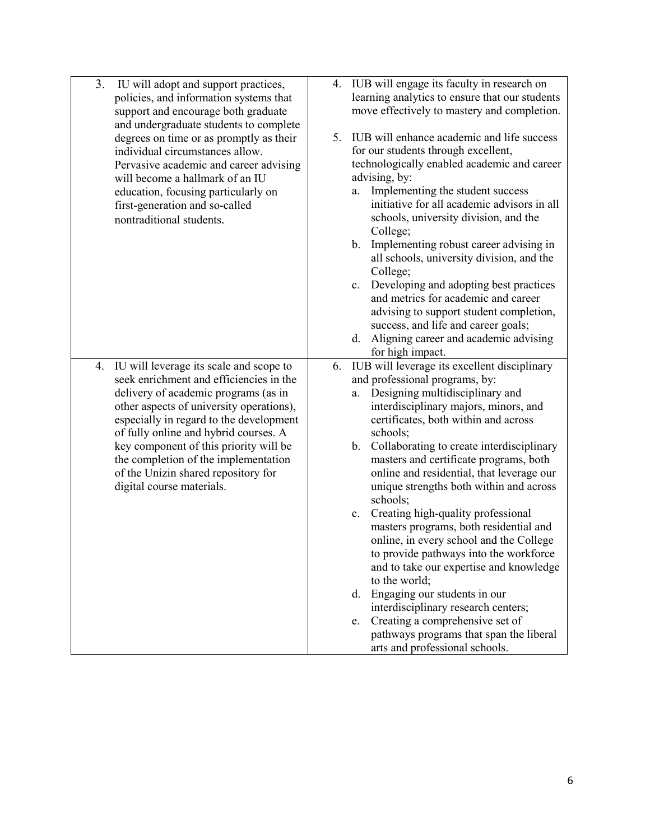| 3. | IU will adopt and support practices,<br>policies, and information systems that     | 4. | IUB will engage its faculty in research on<br>learning analytics to ensure that our students |
|----|------------------------------------------------------------------------------------|----|----------------------------------------------------------------------------------------------|
|    | support and encourage both graduate<br>and undergraduate students to complete      |    | move effectively to mastery and completion.                                                  |
|    | degrees on time or as promptly as their<br>individual circumstances allow.         | 5. | IUB will enhance academic and life success<br>for our students through excellent,            |
|    | Pervasive academic and career advising                                             |    | technologically enabled academic and career                                                  |
|    | will become a hallmark of an IU                                                    |    | advising, by:                                                                                |
|    | education, focusing particularly on                                                |    | Implementing the student success<br>a.<br>initiative for all academic advisors in all        |
|    | first-generation and so-called<br>nontraditional students.                         |    | schools, university division, and the                                                        |
|    |                                                                                    |    | College;                                                                                     |
|    |                                                                                    |    | Implementing robust career advising in<br>b.<br>all schools, university division, and the    |
|    |                                                                                    |    | College;<br>Developing and adopting best practices<br>c.                                     |
|    |                                                                                    |    | and metrics for academic and career                                                          |
|    |                                                                                    |    | advising to support student completion,                                                      |
|    |                                                                                    |    | success, and life and career goals;                                                          |
|    |                                                                                    |    | Aligning career and academic advising<br>d.                                                  |
|    |                                                                                    |    | for high impact.                                                                             |
| 4. | IU will leverage its scale and scope to<br>seek enrichment and efficiencies in the | 6. | IUB will leverage its excellent disciplinary<br>and professional programs, by:               |
|    | delivery of academic programs (as in                                               |    | Designing multidisciplinary and<br>a.                                                        |
|    | other aspects of university operations),                                           |    | interdisciplinary majors, minors, and                                                        |
|    | especially in regard to the development                                            |    | certificates, both within and across                                                         |
|    | of fully online and hybrid courses. A                                              |    | schools;                                                                                     |
|    | key component of this priority will be                                             |    | Collaborating to create interdisciplinary<br>b.                                              |
|    | the completion of the implementation                                               |    | masters and certificate programs, both                                                       |
|    | of the Unizin shared repository for<br>digital course materials.                   |    | online and residential, that leverage our<br>unique strengths both within and across         |
|    |                                                                                    |    | schools;                                                                                     |
|    |                                                                                    |    | Creating high-quality professional<br>c.                                                     |
|    |                                                                                    |    | masters programs, both residential and                                                       |
|    |                                                                                    |    | online, in every school and the College                                                      |
|    |                                                                                    |    | to provide pathways into the workforce                                                       |
|    |                                                                                    |    | and to take our expertise and knowledge<br>to the world;                                     |
|    |                                                                                    |    | Engaging our students in our<br>d.                                                           |
|    |                                                                                    |    | interdisciplinary research centers;                                                          |
|    |                                                                                    |    | Creating a comprehensive set of<br>e.                                                        |
|    |                                                                                    |    | pathways programs that span the liberal<br>arts and professional schools.                    |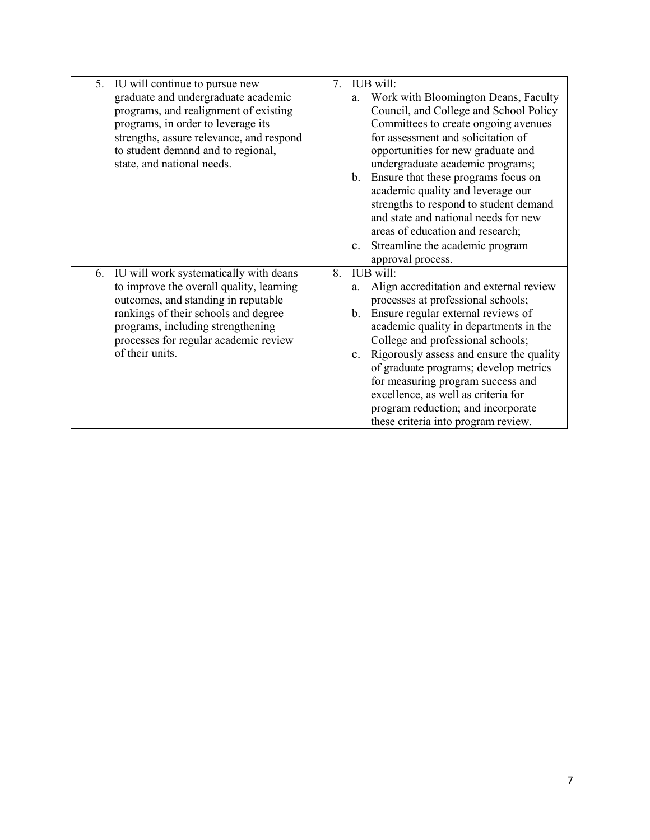| 5. | IU will continue to pursue new           | $7_{\scriptscriptstyle{\ddots}}$ |    | IUB will:                                   |
|----|------------------------------------------|----------------------------------|----|---------------------------------------------|
|    | graduate and undergraduate academic      |                                  | a. | Work with Bloomington Deans, Faculty        |
|    | programs, and realignment of existing    |                                  |    | Council, and College and School Policy      |
|    | programs, in order to leverage its       |                                  |    | Committees to create ongoing avenues        |
|    | strengths, assure relevance, and respond |                                  |    | for assessment and solicitation of          |
|    | to student demand and to regional,       |                                  |    | opportunities for new graduate and          |
|    | state, and national needs.               |                                  |    | undergraduate academic programs;            |
|    |                                          |                                  |    | b. Ensure that these programs focus on      |
|    |                                          |                                  |    | academic quality and leverage our           |
|    |                                          |                                  |    | strengths to respond to student demand      |
|    |                                          |                                  |    | and state and national needs for new        |
|    |                                          |                                  |    | areas of education and research;            |
|    |                                          |                                  |    | c. Streamline the academic program          |
|    |                                          |                                  |    | approval process.                           |
| 6. | IU will work systematically with deans   | 8.                               |    | IUB will:                                   |
|    | to improve the overall quality, learning |                                  | a. | Align accreditation and external review     |
|    | outcomes, and standing in reputable      |                                  |    | processes at professional schools;          |
|    | rankings of their schools and degree     |                                  |    | b. Ensure regular external reviews of       |
|    | programs, including strengthening        |                                  |    | academic quality in departments in the      |
|    | processes for regular academic review    |                                  |    | College and professional schools;           |
|    | of their units.                          |                                  |    | c. Rigorously assess and ensure the quality |
|    |                                          |                                  |    | of graduate programs; develop metrics       |
|    |                                          |                                  |    | for measuring program success and           |
|    |                                          |                                  |    | excellence, as well as criteria for         |
|    |                                          |                                  |    | program reduction; and incorporate          |
|    |                                          |                                  |    | these criteria into program review.         |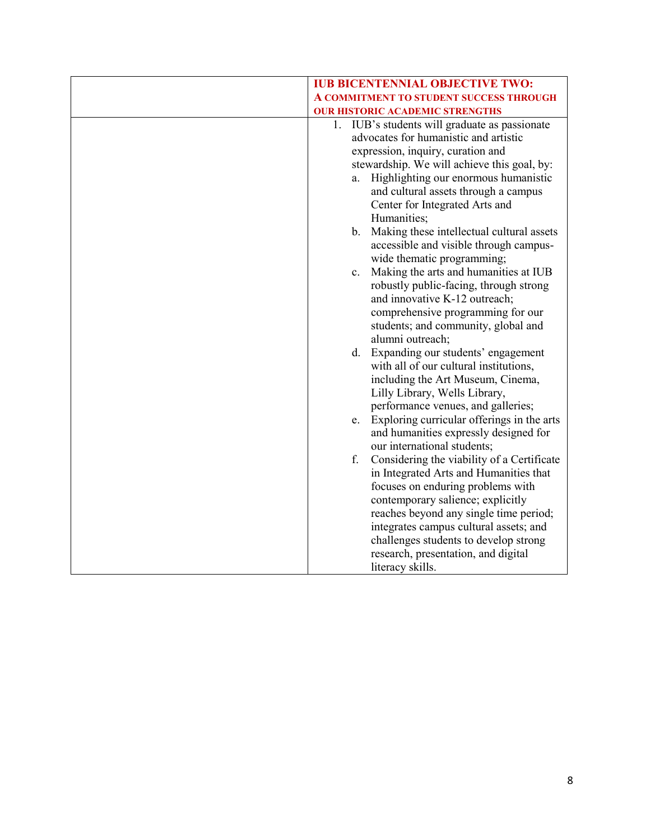| <b>IUB BICENTENNIAL OBJECTIVE TWO:</b>                                                                                                                                                                                                                                                                                                                                                                                                                                                                                                                                                                                                                                                    |
|-------------------------------------------------------------------------------------------------------------------------------------------------------------------------------------------------------------------------------------------------------------------------------------------------------------------------------------------------------------------------------------------------------------------------------------------------------------------------------------------------------------------------------------------------------------------------------------------------------------------------------------------------------------------------------------------|
| A COMMITMENT TO STUDENT SUCCESS THROUGH                                                                                                                                                                                                                                                                                                                                                                                                                                                                                                                                                                                                                                                   |
|                                                                                                                                                                                                                                                                                                                                                                                                                                                                                                                                                                                                                                                                                           |
| <b>OUR HISTORIC ACADEMIC STRENGTHS</b><br>1. IUB's students will graduate as passionate<br>advocates for humanistic and artistic<br>expression, inquiry, curation and<br>stewardship. We will achieve this goal, by:<br>Highlighting our enormous humanistic<br>a.<br>and cultural assets through a campus<br>Center for Integrated Arts and<br>Humanities;<br>b. Making these intellectual cultural assets<br>accessible and visible through campus-<br>wide thematic programming;<br>Making the arts and humanities at IUB<br>c.<br>robustly public-facing, through strong<br>and innovative K-12 outreach;<br>comprehensive programming for our<br>students; and community, global and |
| alumni outreach;<br>d. Expanding our students' engagement<br>with all of our cultural institutions,<br>including the Art Museum, Cinema,<br>Lilly Library, Wells Library,<br>performance venues, and galleries;                                                                                                                                                                                                                                                                                                                                                                                                                                                                           |
| e. Exploring curricular offerings in the arts<br>and humanities expressly designed for<br>our international students;                                                                                                                                                                                                                                                                                                                                                                                                                                                                                                                                                                     |
| Considering the viability of a Certificate<br>f.<br>in Integrated Arts and Humanities that<br>focuses on enduring problems with<br>contemporary salience; explicitly<br>reaches beyond any single time period;<br>integrates campus cultural assets; and<br>challenges students to develop strong<br>research, presentation, and digital<br>literacy skills.                                                                                                                                                                                                                                                                                                                              |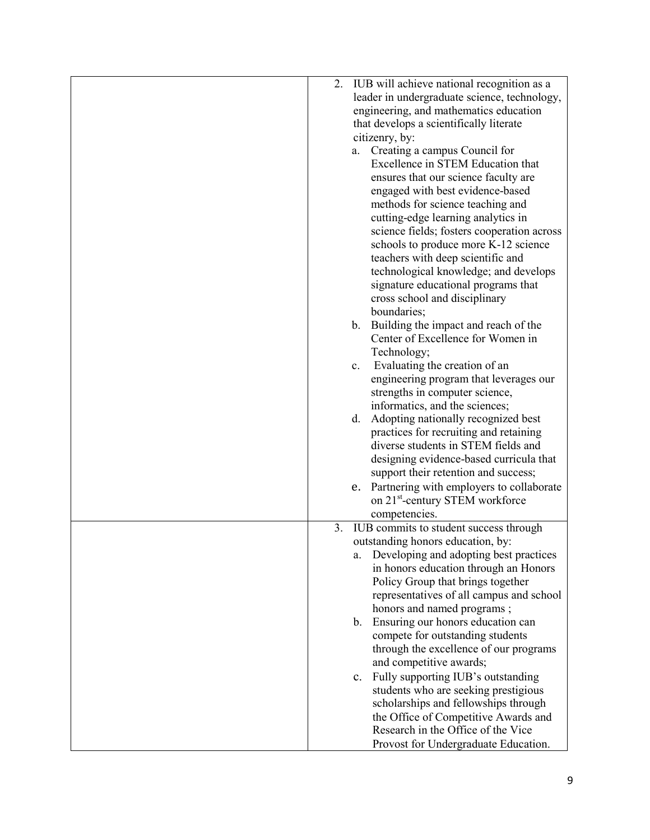| 2. | IUB will achieve national recognition as a   |
|----|----------------------------------------------|
|    | leader in undergraduate science, technology, |
|    | engineering, and mathematics education       |
|    | that develops a scientifically literate      |
|    | citizenry, by:                               |
|    | a. Creating a campus Council for             |
|    | Excellence in STEM Education that            |
|    |                                              |
|    | ensures that our science faculty are         |
|    | engaged with best evidence-based             |
|    | methods for science teaching and             |
|    | cutting-edge learning analytics in           |
|    | science fields; fosters cooperation across   |
|    | schools to produce more K-12 science         |
|    | teachers with deep scientific and            |
|    | technological knowledge; and develops        |
|    | signature educational programs that          |
|    | cross school and disciplinary                |
|    | boundaries;                                  |
|    | b. Building the impact and reach of the      |
|    | Center of Excellence for Women in            |
|    | Technology;                                  |
|    | Evaluating the creation of an<br>$c_{\cdot}$ |
|    | engineering program that leverages our       |
|    | strengths in computer science,               |
|    | informatics, and the sciences;               |
|    | d. Adopting nationally recognized best       |
|    | practices for recruiting and retaining       |
|    | diverse students in STEM fields and          |
|    | designing evidence-based curricula that      |
|    | support their retention and success;         |
|    | e. Partnering with employers to collaborate  |
|    | on 21 <sup>st</sup> -century STEM workforce  |
|    | competencies.                                |
| 3. | IUB commits to student success through       |
|    | outstanding honors education, by:            |
|    |                                              |
|    | Developing and adopting best practices<br>a. |
|    | in honors education through an Honors        |
|    | Policy Group that brings together            |
|    | representatives of all campus and school     |
|    | honors and named programs;                   |
|    | b. Ensuring our honors education can         |
|    | compete for outstanding students             |
|    | through the excellence of our programs       |
|    | and competitive awards;                      |
|    | Fully supporting IUB's outstanding<br>c.     |
|    | students who are seeking prestigious         |
|    | scholarships and fellowships through         |
|    | the Office of Competitive Awards and         |
|    | Research in the Office of the Vice           |
|    | Provost for Undergraduate Education.         |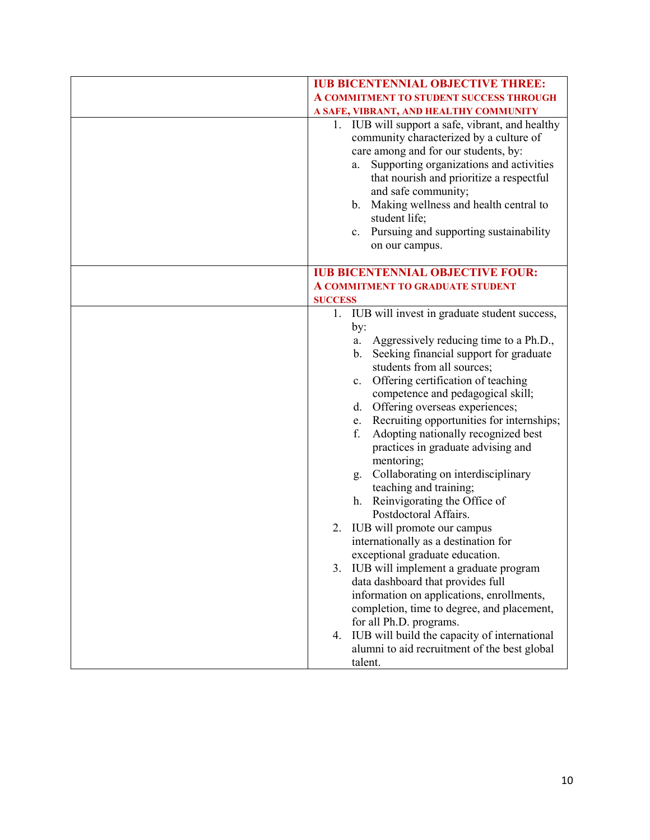| <b>IUB BICENTENNIAL OBJECTIVE THREE:</b>                                                                                                                                                                                                                                                                                                                                            |
|-------------------------------------------------------------------------------------------------------------------------------------------------------------------------------------------------------------------------------------------------------------------------------------------------------------------------------------------------------------------------------------|
|                                                                                                                                                                                                                                                                                                                                                                                     |
| A COMMITMENT TO STUDENT SUCCESS THROUGH                                                                                                                                                                                                                                                                                                                                             |
| A SAFE, VIBRANT, AND HEALTHY COMMUNITY                                                                                                                                                                                                                                                                                                                                              |
| 1. IUB will support a safe, vibrant, and healthy<br>community characterized by a culture of<br>care among and for our students, by:<br>Supporting organizations and activities<br>a.<br>that nourish and prioritize a respectful<br>and safe community;<br>b. Making wellness and health central to<br>student life;<br>c. Pursuing and supporting sustainability<br>on our campus. |
| <b>IUB BICENTENNIAL OBJECTIVE FOUR:</b>                                                                                                                                                                                                                                                                                                                                             |
| <b>A COMMITMENT TO GRADUATE STUDENT</b>                                                                                                                                                                                                                                                                                                                                             |
| <b>SUCCESS</b>                                                                                                                                                                                                                                                                                                                                                                      |
| 1. IUB will invest in graduate student success,                                                                                                                                                                                                                                                                                                                                     |
| by:                                                                                                                                                                                                                                                                                                                                                                                 |
| Aggressively reducing time to a Ph.D.,<br>a.                                                                                                                                                                                                                                                                                                                                        |
| Seeking financial support for graduate<br>b.                                                                                                                                                                                                                                                                                                                                        |
| students from all sources;                                                                                                                                                                                                                                                                                                                                                          |
| Offering certification of teaching<br>c.                                                                                                                                                                                                                                                                                                                                            |
| competence and pedagogical skill;                                                                                                                                                                                                                                                                                                                                                   |
| Offering overseas experiences;<br>d.                                                                                                                                                                                                                                                                                                                                                |
|                                                                                                                                                                                                                                                                                                                                                                                     |
| Recruiting opportunities for internships;<br>e.                                                                                                                                                                                                                                                                                                                                     |
| Adopting nationally recognized best<br>f.                                                                                                                                                                                                                                                                                                                                           |
| practices in graduate advising and                                                                                                                                                                                                                                                                                                                                                  |
| mentoring;                                                                                                                                                                                                                                                                                                                                                                          |
| Collaborating on interdisciplinary<br>g.                                                                                                                                                                                                                                                                                                                                            |
| teaching and training;                                                                                                                                                                                                                                                                                                                                                              |
| h. Reinvigorating the Office of                                                                                                                                                                                                                                                                                                                                                     |
| Postdoctoral Affairs.                                                                                                                                                                                                                                                                                                                                                               |
| IUB will promote our campus<br>2.                                                                                                                                                                                                                                                                                                                                                   |
| internationally as a destination for                                                                                                                                                                                                                                                                                                                                                |
| exceptional graduate education.                                                                                                                                                                                                                                                                                                                                                     |
| IUB will implement a graduate program<br>3.                                                                                                                                                                                                                                                                                                                                         |
| data dashboard that provides full                                                                                                                                                                                                                                                                                                                                                   |
| information on applications, enrollments,                                                                                                                                                                                                                                                                                                                                           |
| completion, time to degree, and placement,                                                                                                                                                                                                                                                                                                                                          |
| for all Ph.D. programs.                                                                                                                                                                                                                                                                                                                                                             |
| IUB will build the capacity of international<br>4.                                                                                                                                                                                                                                                                                                                                  |
| alumni to aid recruitment of the best global                                                                                                                                                                                                                                                                                                                                        |
| talent.                                                                                                                                                                                                                                                                                                                                                                             |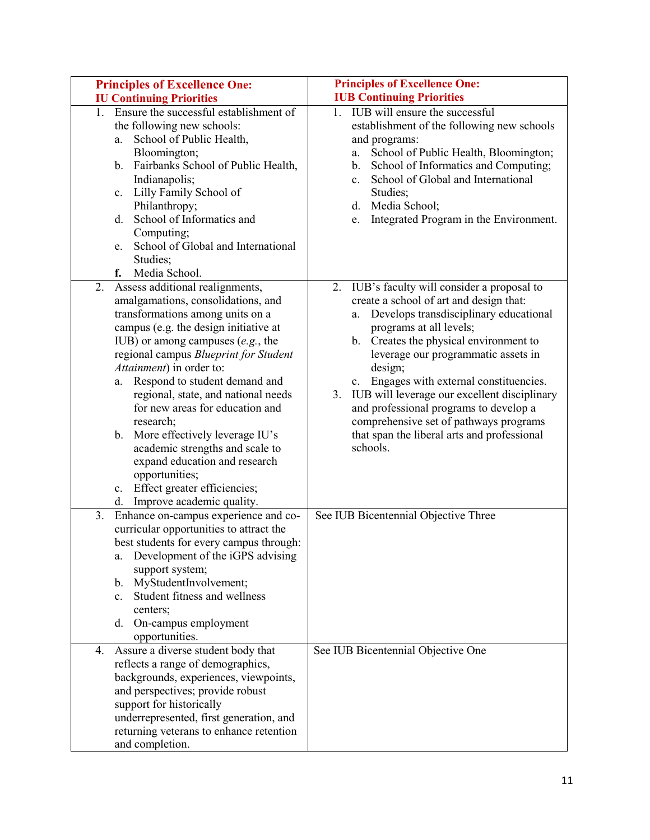| <b>Principles of Excellence One:</b>                                                                                                                                                                                                                                                                                                                                                                                                                                                                                                                                                                    | <b>Principles of Excellence One:</b>                                                                                                                                                                                                                                                                                                                                                                                                                                                                      |
|---------------------------------------------------------------------------------------------------------------------------------------------------------------------------------------------------------------------------------------------------------------------------------------------------------------------------------------------------------------------------------------------------------------------------------------------------------------------------------------------------------------------------------------------------------------------------------------------------------|-----------------------------------------------------------------------------------------------------------------------------------------------------------------------------------------------------------------------------------------------------------------------------------------------------------------------------------------------------------------------------------------------------------------------------------------------------------------------------------------------------------|
| <b>IU Continuing Priorities</b>                                                                                                                                                                                                                                                                                                                                                                                                                                                                                                                                                                         | <b>IUB Continuing Priorities</b>                                                                                                                                                                                                                                                                                                                                                                                                                                                                          |
| 1. Ensure the successful establishment of<br>the following new schools:<br>School of Public Health,<br>a.<br>Bloomington;<br>Fairbanks School of Public Health,<br>b.<br>Indianapolis;<br>Lilly Family School of<br>c.<br>Philanthropy;<br>School of Informatics and<br>d.<br>Computing;<br>School of Global and International<br>e.<br>Studies;<br>Media School.<br>f.                                                                                                                                                                                                                                 | IUB will ensure the successful<br>1.<br>establishment of the following new schools<br>and programs:<br>School of Public Health, Bloomington;<br>a.<br>School of Informatics and Computing;<br>b.<br>School of Global and International<br>$\mathbf{c}$ .<br>Studies;<br>d. Media School;<br>Integrated Program in the Environment.<br>e.                                                                                                                                                                  |
| Assess additional realignments,<br>2.<br>amalgamations, consolidations, and<br>transformations among units on a<br>campus (e.g. the design initiative at<br>IUB) or among campuses $(e.g., the)$<br>regional campus Blueprint for Student<br>Attainment) in order to:<br>Respond to student demand and<br>a.<br>regional, state, and national needs<br>for new areas for education and<br>research;<br>b. More effectively leverage IU's<br>academic strengths and scale to<br>expand education and research<br>opportunities;<br>Effect greater efficiencies;<br>c.<br>Improve academic quality.<br>d. | 2. IUB's faculty will consider a proposal to<br>create a school of art and design that:<br>a. Develops transdisciplinary educational<br>programs at all levels;<br>b. Creates the physical environment to<br>leverage our programmatic assets in<br>design;<br>c. Engages with external constituencies.<br>3. IUB will leverage our excellent disciplinary<br>and professional programs to develop a<br>comprehensive set of pathways programs<br>that span the liberal arts and professional<br>schools. |
| 3.<br>Enhance on-campus experience and co-<br>curricular opportunities to attract the<br>best students for every campus through:<br>Development of the iGPS advising<br>a.<br>support system;<br>MyStudentInvolvement;<br>$b_{\cdot}$<br>Student fitness and wellness<br>$c_{\cdot}$<br>centers:<br>On-campus employment<br>d.<br>opportunities.                                                                                                                                                                                                                                                        | See IUB Bicentennial Objective Three                                                                                                                                                                                                                                                                                                                                                                                                                                                                      |
| Assure a diverse student body that<br>4.<br>reflects a range of demographics,<br>backgrounds, experiences, viewpoints,<br>and perspectives; provide robust<br>support for historically<br>underrepresented, first generation, and<br>returning veterans to enhance retention<br>and completion.                                                                                                                                                                                                                                                                                                         | See IUB Bicentennial Objective One                                                                                                                                                                                                                                                                                                                                                                                                                                                                        |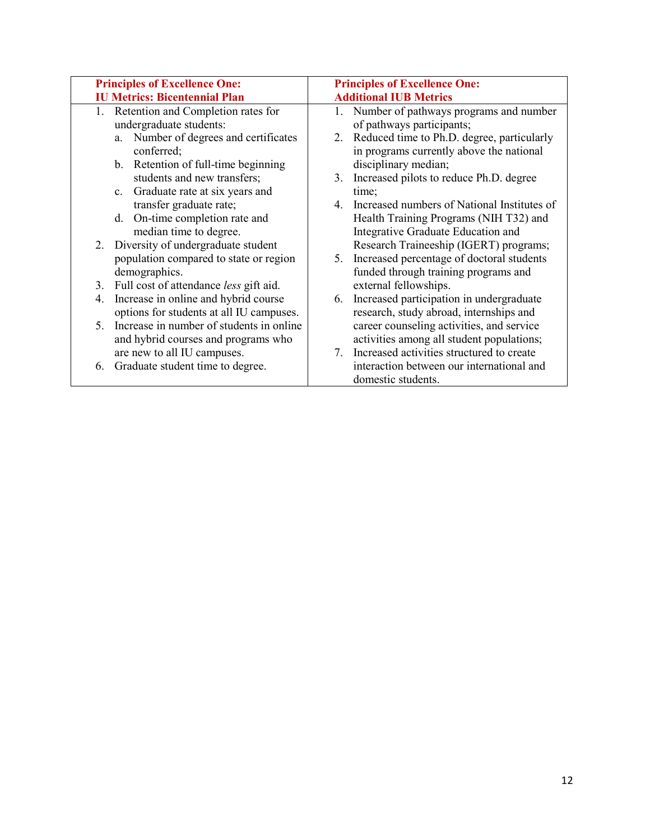| <b>Principles of Excellence One:</b> |                                             | <b>Principles of Excellence One:</b> |                                               |
|--------------------------------------|---------------------------------------------|--------------------------------------|-----------------------------------------------|
|                                      | <b>IU Metrics: Bicentennial Plan</b>        |                                      | <b>Additional IUB Metrics</b>                 |
| 1.                                   | Retention and Completion rates for          | 1.                                   | Number of pathways programs and number        |
|                                      | undergraduate students:                     |                                      | of pathways participants;                     |
|                                      | a. Number of degrees and certificates       |                                      | 2. Reduced time to Ph.D. degree, particularly |
| conferred;                           |                                             |                                      | in programs currently above the national      |
|                                      | b. Retention of full-time beginning         |                                      | disciplinary median;                          |
|                                      | students and new transfers;                 | 3.                                   | Increased pilots to reduce Ph.D. degree       |
| $c_{\cdot}$                          | Graduate rate at six years and              |                                      | time;                                         |
|                                      | transfer graduate rate;                     | 4.                                   | Increased numbers of National Institutes of   |
| d.                                   | On-time completion rate and                 |                                      | Health Training Programs (NIH T32) and        |
|                                      | median time to degree.                      |                                      | Integrative Graduate Education and            |
|                                      | 2. Diversity of undergraduate student       |                                      | Research Traineeship (IGERT) programs;        |
|                                      | population compared to state or region      | 5.                                   | Increased percentage of doctoral students     |
| demographics.                        |                                             |                                      | funded through training programs and          |
|                                      | 3. Full cost of attendance less gift aid.   |                                      | external fellowships.                         |
| 4.                                   | Increase in online and hybrid course        | 6.                                   | Increased participation in undergraduate      |
|                                      | options for students at all IU campuses.    |                                      | research, study abroad, internships and       |
|                                      | 5. Increase in number of students in online |                                      | career counseling activities, and service     |
|                                      | and hybrid courses and programs who         |                                      | activities among all student populations;     |
|                                      | are new to all IU campuses.                 | 7.                                   | Increased activities structured to create     |
| 6.                                   | Graduate student time to degree.            |                                      | interaction between our international and     |
|                                      |                                             |                                      | domestic students.                            |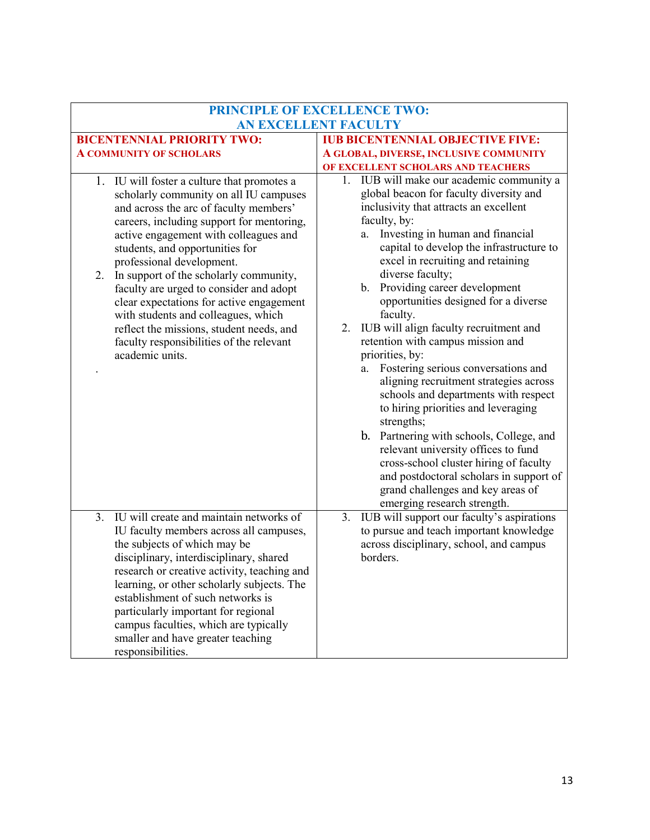| <b>PRINCIPLE OF EXCELLENCE TWO:</b>                                                                                                                                                                                                                                                                                                                                                                                                                                                                                                                                            |                                                                                                                                                                                                                                                                                                                                                                                                                                                                                                                                                                                                                                                                                                                                                                                                                                                                                                                                           |  |  |
|--------------------------------------------------------------------------------------------------------------------------------------------------------------------------------------------------------------------------------------------------------------------------------------------------------------------------------------------------------------------------------------------------------------------------------------------------------------------------------------------------------------------------------------------------------------------------------|-------------------------------------------------------------------------------------------------------------------------------------------------------------------------------------------------------------------------------------------------------------------------------------------------------------------------------------------------------------------------------------------------------------------------------------------------------------------------------------------------------------------------------------------------------------------------------------------------------------------------------------------------------------------------------------------------------------------------------------------------------------------------------------------------------------------------------------------------------------------------------------------------------------------------------------------|--|--|
| <b>AN EXCELLENT FACULTY</b>                                                                                                                                                                                                                                                                                                                                                                                                                                                                                                                                                    |                                                                                                                                                                                                                                                                                                                                                                                                                                                                                                                                                                                                                                                                                                                                                                                                                                                                                                                                           |  |  |
| <b>BICENTENNIAL PRIORITY TWO:</b>                                                                                                                                                                                                                                                                                                                                                                                                                                                                                                                                              | <b>IUB BICENTENNIAL OBJECTIVE FIVE:</b>                                                                                                                                                                                                                                                                                                                                                                                                                                                                                                                                                                                                                                                                                                                                                                                                                                                                                                   |  |  |
| <b>A COMMUNITY OF SCHOLARS</b>                                                                                                                                                                                                                                                                                                                                                                                                                                                                                                                                                 | A GLOBAL, DIVERSE, INCLUSIVE COMMUNITY                                                                                                                                                                                                                                                                                                                                                                                                                                                                                                                                                                                                                                                                                                                                                                                                                                                                                                    |  |  |
| 1. IU will foster a culture that promotes a<br>scholarly community on all IU campuses<br>and across the arc of faculty members'<br>careers, including support for mentoring,<br>active engagement with colleagues and<br>students, and opportunities for<br>professional development.<br>In support of the scholarly community,<br>2.<br>faculty are urged to consider and adopt<br>clear expectations for active engagement<br>with students and colleagues, which<br>reflect the missions, student needs, and<br>faculty responsibilities of the relevant<br>academic units. | OF EXCELLENT SCHOLARS AND TEACHERS<br>IUB will make our academic community a<br>1.<br>global beacon for faculty diversity and<br>inclusivity that attracts an excellent<br>faculty, by:<br>Investing in human and financial<br>a.<br>capital to develop the infrastructure to<br>excel in recruiting and retaining<br>diverse faculty;<br>Providing career development<br>b.<br>opportunities designed for a diverse<br>faculty.<br>IUB will align faculty recruitment and<br>2.<br>retention with campus mission and<br>priorities, by:<br>Fostering serious conversations and<br>a.<br>aligning recruitment strategies across<br>schools and departments with respect<br>to hiring priorities and leveraging<br>strengths;<br>b. Partnering with schools, College, and<br>relevant university offices to fund<br>cross-school cluster hiring of faculty<br>and postdoctoral scholars in support of<br>grand challenges and key areas of |  |  |
| IU will create and maintain networks of<br>3.<br>IU faculty members across all campuses,<br>the subjects of which may be<br>disciplinary, interdisciplinary, shared<br>research or creative activity, teaching and<br>learning, or other scholarly subjects. The<br>establishment of such networks is<br>particularly important for regional<br>campus faculties, which are typically<br>smaller and have greater teaching<br>responsibilities.                                                                                                                                | emerging research strength.<br>3.<br>IUB will support our faculty's aspirations<br>to pursue and teach important knowledge<br>across disciplinary, school, and campus<br>borders.                                                                                                                                                                                                                                                                                                                                                                                                                                                                                                                                                                                                                                                                                                                                                         |  |  |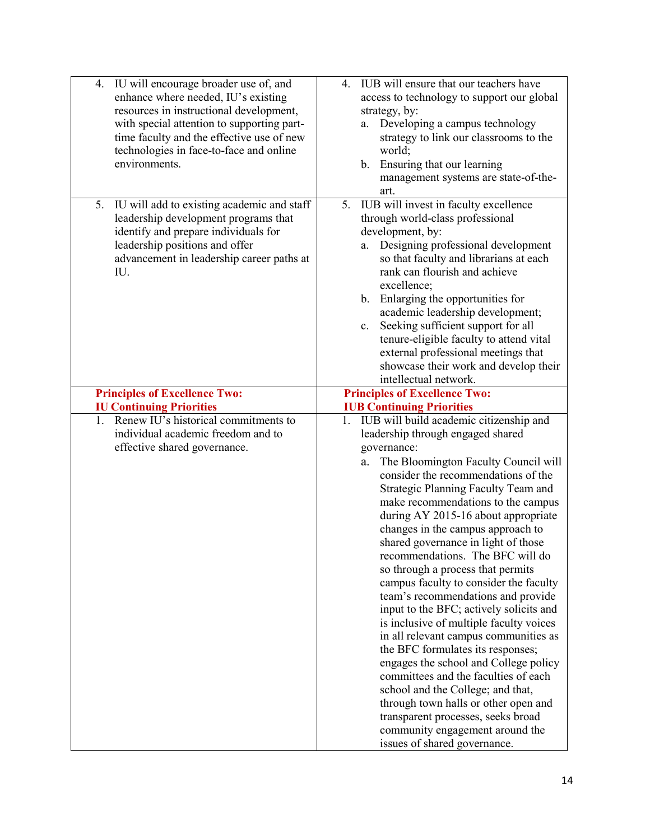| IU will encourage broader use of, and<br>4.<br>enhance where needed, IU's existing<br>resources in instructional development,<br>with special attention to supporting part-<br>time faculty and the effective use of new<br>technologies in face-to-face and online<br>environments. | IUB will ensure that our teachers have<br>4.<br>access to technology to support our global<br>strategy, by:<br>a. Developing a campus technology<br>strategy to link our classrooms to the<br>world;<br>b. Ensuring that our learning<br>management systems are state-of-the-<br>art.                                                                                                                                                                                                                                                                                                                                                                                                                                                                                                                                                                 |
|--------------------------------------------------------------------------------------------------------------------------------------------------------------------------------------------------------------------------------------------------------------------------------------|-------------------------------------------------------------------------------------------------------------------------------------------------------------------------------------------------------------------------------------------------------------------------------------------------------------------------------------------------------------------------------------------------------------------------------------------------------------------------------------------------------------------------------------------------------------------------------------------------------------------------------------------------------------------------------------------------------------------------------------------------------------------------------------------------------------------------------------------------------|
| IU will add to existing academic and staff<br>5.<br>leadership development programs that<br>identify and prepare individuals for<br>leadership positions and offer<br>advancement in leadership career paths at<br>IU.                                                               | IUB will invest in faculty excellence<br>5.<br>through world-class professional<br>development, by:<br>Designing professional development<br>a.<br>so that faculty and librarians at each<br>rank can flourish and achieve<br>excellence;<br>Enlarging the opportunities for<br>$\mathbf{b}$ .<br>academic leadership development;<br>Seeking sufficient support for all<br>c.<br>tenure-eligible faculty to attend vital<br>external professional meetings that<br>showcase their work and develop their<br>intellectual network.                                                                                                                                                                                                                                                                                                                    |
| <b>Principles of Excellence Two:</b>                                                                                                                                                                                                                                                 | <b>Principles of Excellence Two:</b>                                                                                                                                                                                                                                                                                                                                                                                                                                                                                                                                                                                                                                                                                                                                                                                                                  |
| <b>IU Continuing Priorities</b><br>Renew IU's historical commitments to<br>$1_{-}$                                                                                                                                                                                                   | <b>IUB Continuing Priorities</b>                                                                                                                                                                                                                                                                                                                                                                                                                                                                                                                                                                                                                                                                                                                                                                                                                      |
| individual academic freedom and to                                                                                                                                                                                                                                                   | 1. IUB will build academic citizenship and                                                                                                                                                                                                                                                                                                                                                                                                                                                                                                                                                                                                                                                                                                                                                                                                            |
| effective shared governance.                                                                                                                                                                                                                                                         | leadership through engaged shared<br>governance:                                                                                                                                                                                                                                                                                                                                                                                                                                                                                                                                                                                                                                                                                                                                                                                                      |
|                                                                                                                                                                                                                                                                                      | The Bloomington Faculty Council will<br>a.<br>consider the recommendations of the<br>Strategic Planning Faculty Team and<br>make recommendations to the campus<br>during AY 2015-16 about appropriate<br>changes in the campus approach to<br>shared governance in light of those<br>recommendations. The BFC will do<br>so through a process that permits<br>campus faculty to consider the faculty<br>team's recommendations and provide<br>input to the BFC; actively solicits and<br>is inclusive of multiple faculty voices<br>in all relevant campus communities as<br>the BFC formulates its responses;<br>engages the school and College policy<br>committees and the faculties of each<br>school and the College; and that,<br>through town halls or other open and<br>transparent processes, seeks broad<br>community engagement around the |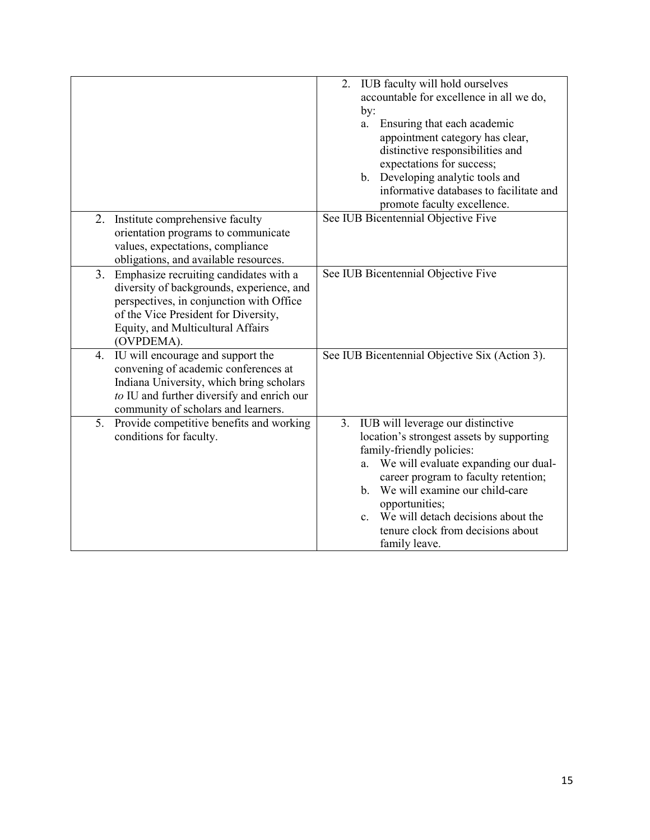|                                                                                                                                                                                                                                  | IUB faculty will hold ourselves<br>2.<br>accountable for excellence in all we do,                                                                                                                                                                                                                                                                                         |
|----------------------------------------------------------------------------------------------------------------------------------------------------------------------------------------------------------------------------------|---------------------------------------------------------------------------------------------------------------------------------------------------------------------------------------------------------------------------------------------------------------------------------------------------------------------------------------------------------------------------|
| Institute comprehensive faculty<br>2.                                                                                                                                                                                            | by:<br>Ensuring that each academic<br>a.<br>appointment category has clear,<br>distinctive responsibilities and<br>expectations for success;<br>b. Developing analytic tools and<br>informative databases to facilitate and<br>promote faculty excellence.<br>See IUB Bicentennial Objective Five                                                                         |
| orientation programs to communicate<br>values, expectations, compliance<br>obligations, and available resources.                                                                                                                 |                                                                                                                                                                                                                                                                                                                                                                           |
| Emphasize recruiting candidates with a<br>3.<br>diversity of backgrounds, experience, and<br>perspectives, in conjunction with Office<br>of the Vice President for Diversity,<br>Equity, and Multicultural Affairs<br>(OVPDEMA). | See IUB Bicentennial Objective Five                                                                                                                                                                                                                                                                                                                                       |
| IU will encourage and support the<br>4.<br>convening of academic conferences at<br>Indiana University, which bring scholars<br>to IU and further diversify and enrich our<br>community of scholars and learners.                 | See IUB Bicentennial Objective Six (Action 3).                                                                                                                                                                                                                                                                                                                            |
| 5.<br>Provide competitive benefits and working<br>conditions for faculty.                                                                                                                                                        | 3. IUB will leverage our distinctive<br>location's strongest assets by supporting<br>family-friendly policies:<br>We will evaluate expanding our dual-<br>a.<br>career program to faculty retention;<br>b. We will examine our child-care<br>opportunities;<br>We will detach decisions about the<br>$\mathbf{c}$ .<br>tenure clock from decisions about<br>family leave. |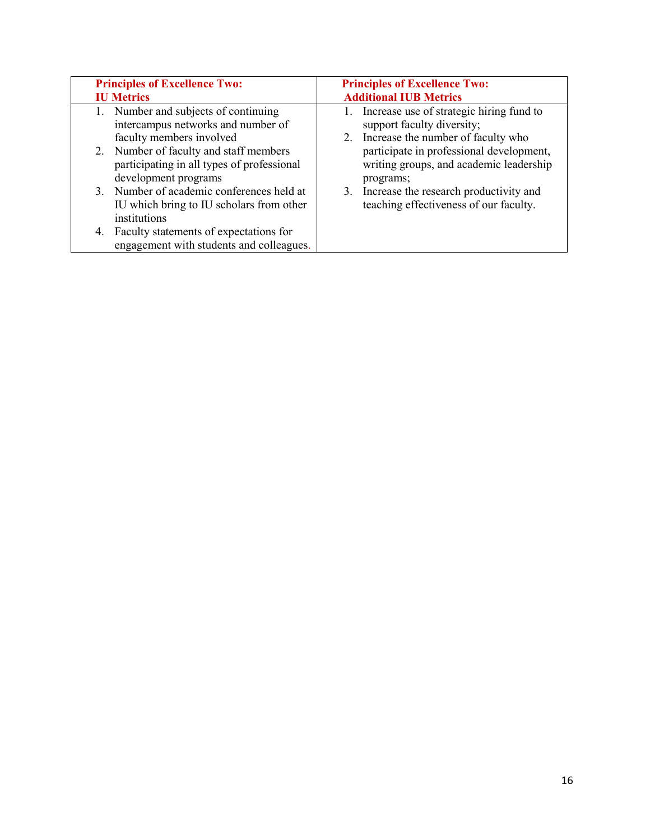| <b>Principles of Excellence Two:</b>                                                                                                                                                                                   | <b>Principles of Excellence Two:</b>                                                                                                                                                                                   |
|------------------------------------------------------------------------------------------------------------------------------------------------------------------------------------------------------------------------|------------------------------------------------------------------------------------------------------------------------------------------------------------------------------------------------------------------------|
| <b>IU Metrics</b>                                                                                                                                                                                                      | <b>Additional IUB Metrics</b>                                                                                                                                                                                          |
| 1. Number and subjects of continuing<br>intercampus networks and number of<br>faculty members involved<br>2. Number of faculty and staff members<br>participating in all types of professional<br>development programs | 1. Increase use of strategic hiring fund to<br>support faculty diversity;<br>2. Increase the number of faculty who<br>participate in professional development,<br>writing groups, and academic leadership<br>programs; |
| 3. Number of academic conferences held at<br>IU which bring to IU scholars from other<br>institutions<br>4. Faculty statements of expectations for                                                                     | 3. Increase the research productivity and<br>teaching effectiveness of our faculty.                                                                                                                                    |
| engagement with students and colleagues.                                                                                                                                                                               |                                                                                                                                                                                                                        |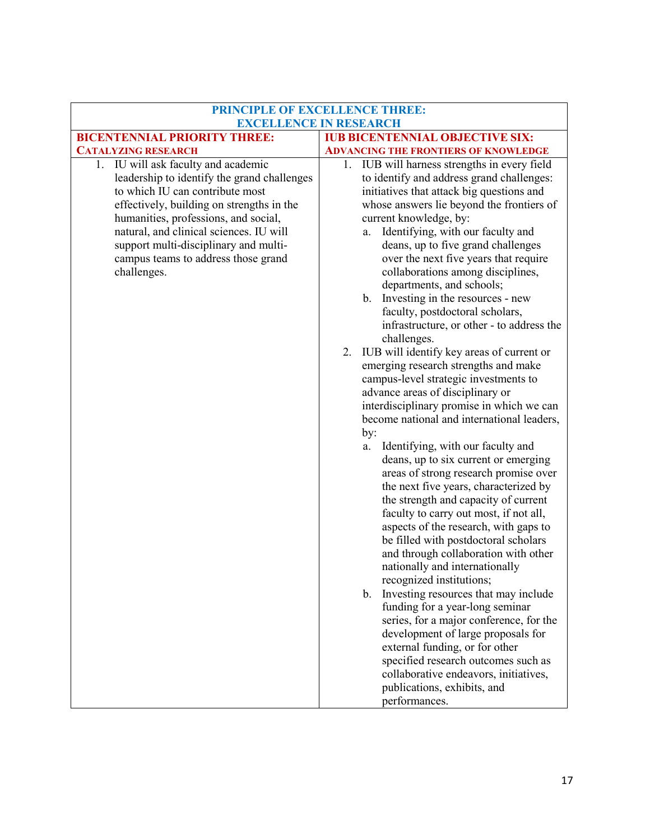|                                                                                                                                                                                                                                                                                                                                                      | PRINCIPLE OF EXCELLENCE THREE:                                                                                                                                                                                                                                                                                                                                                                                                                                                                                                                                                                                                                                                                                                                                                                                                                                                                                                                                                                                                                                                                                                                                                                                                                                                                                                                                                                                                                                                                                                                                                                                         |
|------------------------------------------------------------------------------------------------------------------------------------------------------------------------------------------------------------------------------------------------------------------------------------------------------------------------------------------------------|------------------------------------------------------------------------------------------------------------------------------------------------------------------------------------------------------------------------------------------------------------------------------------------------------------------------------------------------------------------------------------------------------------------------------------------------------------------------------------------------------------------------------------------------------------------------------------------------------------------------------------------------------------------------------------------------------------------------------------------------------------------------------------------------------------------------------------------------------------------------------------------------------------------------------------------------------------------------------------------------------------------------------------------------------------------------------------------------------------------------------------------------------------------------------------------------------------------------------------------------------------------------------------------------------------------------------------------------------------------------------------------------------------------------------------------------------------------------------------------------------------------------------------------------------------------------------------------------------------------------|
|                                                                                                                                                                                                                                                                                                                                                      | <b>EXCELLENCE IN RESEARCH</b>                                                                                                                                                                                                                                                                                                                                                                                                                                                                                                                                                                                                                                                                                                                                                                                                                                                                                                                                                                                                                                                                                                                                                                                                                                                                                                                                                                                                                                                                                                                                                                                          |
| <b>BICENTENNIAL PRIORITY THREE:</b>                                                                                                                                                                                                                                                                                                                  | <b>IUB BICENTENNIAL OBJECTIVE SIX:</b>                                                                                                                                                                                                                                                                                                                                                                                                                                                                                                                                                                                                                                                                                                                                                                                                                                                                                                                                                                                                                                                                                                                                                                                                                                                                                                                                                                                                                                                                                                                                                                                 |
| <b>CATALYZING RESEARCH</b>                                                                                                                                                                                                                                                                                                                           | <b>ADVANCING THE FRONTIERS OF KNOWLEDGE</b>                                                                                                                                                                                                                                                                                                                                                                                                                                                                                                                                                                                                                                                                                                                                                                                                                                                                                                                                                                                                                                                                                                                                                                                                                                                                                                                                                                                                                                                                                                                                                                            |
| 1. IU will ask faculty and academic<br>leadership to identify the grand challenges<br>to which IU can contribute most<br>effectively, building on strengths in the<br>humanities, professions, and social,<br>natural, and clinical sciences. IU will<br>support multi-disciplinary and multi-<br>campus teams to address those grand<br>challenges. | 1. IUB will harness strengths in every field<br>to identify and address grand challenges:<br>initiatives that attack big questions and<br>whose answers lie beyond the frontiers of<br>current knowledge, by:<br>Identifying, with our faculty and<br>a.<br>deans, up to five grand challenges<br>over the next five years that require<br>collaborations among disciplines,<br>departments, and schools;<br>b. Investing in the resources - new<br>faculty, postdoctoral scholars,<br>infrastructure, or other - to address the<br>challenges.<br>IUB will identify key areas of current or<br>2.<br>emerging research strengths and make<br>campus-level strategic investments to<br>advance areas of disciplinary or<br>interdisciplinary promise in which we can<br>become national and international leaders,<br>by:<br>Identifying, with our faculty and<br>a.<br>deans, up to six current or emerging<br>areas of strong research promise over<br>the next five years, characterized by<br>the strength and capacity of current<br>faculty to carry out most, if not all,<br>aspects of the research, with gaps to<br>be filled with postdoctoral scholars<br>and through collaboration with other<br>nationally and internationally<br>recognized institutions;<br>Investing resources that may include<br>$\mathbf b$ .<br>funding for a year-long seminar<br>series, for a major conference, for the<br>development of large proposals for<br>external funding, or for other<br>specified research outcomes such as<br>collaborative endeavors, initiatives,<br>publications, exhibits, and<br>performances. |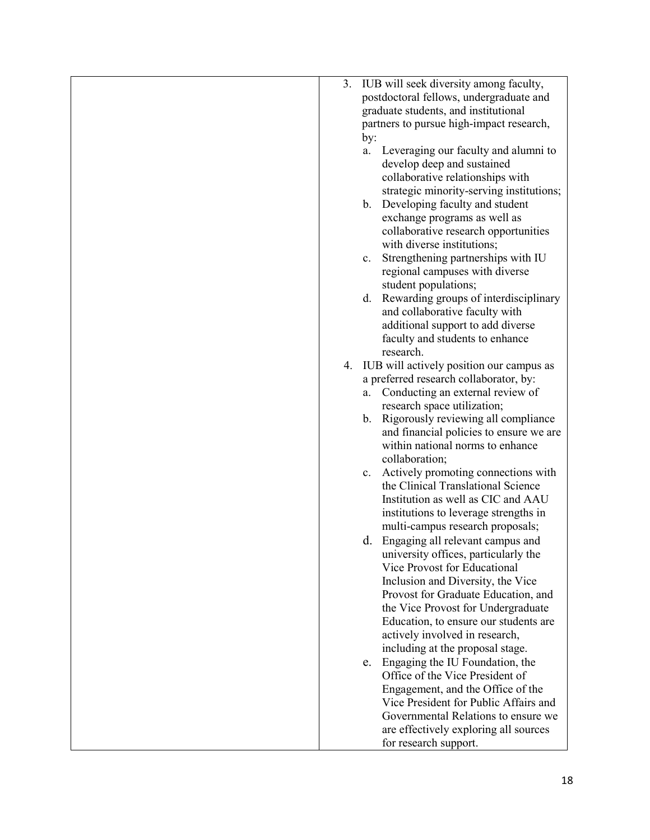| 3. IUB will seek diversity among faculty,                            |
|----------------------------------------------------------------------|
| postdoctoral fellows, undergraduate and                              |
| graduate students, and institutional                                 |
| partners to pursue high-impact research,                             |
| by:                                                                  |
| Leveraging our faculty and alumni to<br>a.                           |
| develop deep and sustained                                           |
| collaborative relationships with                                     |
| strategic minority-serving institutions;                             |
| b. Developing faculty and student                                    |
|                                                                      |
| exchange programs as well as<br>collaborative research opportunities |
|                                                                      |
| with diverse institutions;                                           |
| Strengthening partnerships with IU<br>c.                             |
| regional campuses with diverse                                       |
| student populations;                                                 |
| Rewarding groups of interdisciplinary<br>d.                          |
| and collaborative faculty with                                       |
| additional support to add diverse                                    |
| faculty and students to enhance                                      |
| research.                                                            |
| IUB will actively position our campus as<br>4.                       |
| a preferred research collaborator, by:                               |
| Conducting an external review of<br>a.                               |
| research space utilization;                                          |
| b. Rigorously reviewing all compliance                               |
| and financial policies to ensure we are                              |
| within national norms to enhance                                     |
| collaboration;                                                       |
| Actively promoting connections with<br>c.                            |
| the Clinical Translational Science                                   |
| Institution as well as CIC and AAU                                   |
| institutions to leverage strengths in                                |
| multi-campus research proposals;                                     |
| d. Engaging all relevant campus and                                  |
| university offices, particularly the                                 |
| Vice Provost for Educational                                         |
| Inclusion and Diversity, the Vice                                    |
| Provost for Graduate Education, and                                  |
| the Vice Provost for Undergraduate                                   |
| Education, to ensure our students are                                |
| actively involved in research,                                       |
| including at the proposal stage.                                     |
| Engaging the IU Foundation, the<br>e.                                |
| Office of the Vice President of                                      |
| Engagement, and the Office of the                                    |
| Vice President for Public Affairs and                                |
| Governmental Relations to ensure we                                  |
| are effectively exploring all sources                                |
| for research support.                                                |
|                                                                      |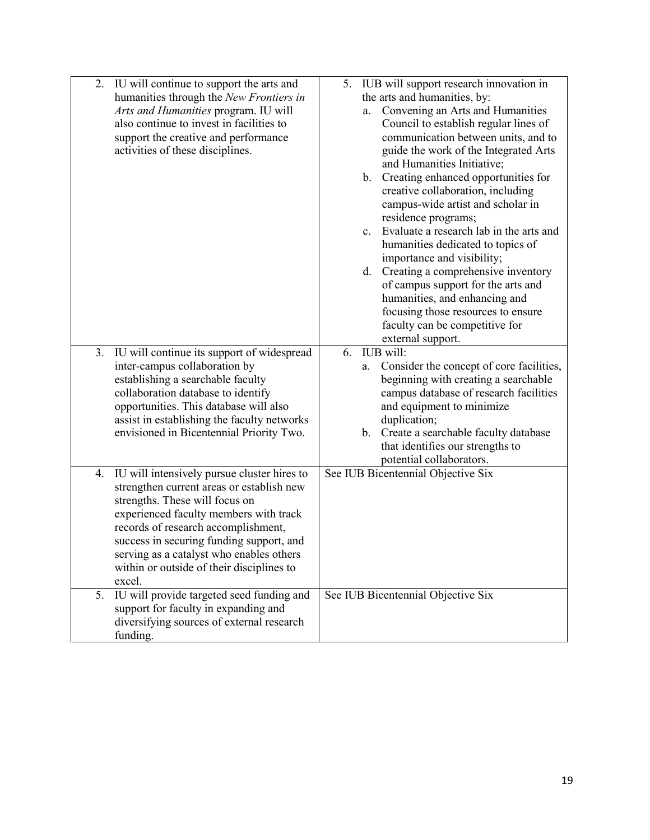| 2. | IU will continue to support the arts and<br>humanities through the New Frontiers in<br>Arts and Humanities program. IU will<br>also continue to invest in facilities to<br>support the creative and performance<br>activities of these disciplines.                                                                                                        |    | a.<br>b. | 5. IUB will support research innovation in<br>the arts and humanities, by:<br>Convening an Arts and Humanities<br>Council to establish regular lines of<br>communication between units, and to<br>guide the work of the Integrated Arts<br>and Humanities Initiative;<br>Creating enhanced opportunities for                                                                                                          |
|----|------------------------------------------------------------------------------------------------------------------------------------------------------------------------------------------------------------------------------------------------------------------------------------------------------------------------------------------------------------|----|----------|-----------------------------------------------------------------------------------------------------------------------------------------------------------------------------------------------------------------------------------------------------------------------------------------------------------------------------------------------------------------------------------------------------------------------|
|    |                                                                                                                                                                                                                                                                                                                                                            |    | c.<br>d. | creative collaboration, including<br>campus-wide artist and scholar in<br>residence programs;<br>Evaluate a research lab in the arts and<br>humanities dedicated to topics of<br>importance and visibility;<br>Creating a comprehensive inventory<br>of campus support for the arts and<br>humanities, and enhancing and<br>focusing those resources to ensure<br>faculty can be competitive for<br>external support. |
|    | 3. IU will continue its support of widespread<br>inter-campus collaboration by<br>establishing a searchable faculty<br>collaboration database to identify<br>opportunities. This database will also<br>assist in establishing the faculty networks<br>envisioned in Bicentennial Priority Two.                                                             | 6. | a.       | IUB will:<br>Consider the concept of core facilities,<br>beginning with creating a searchable<br>campus database of research facilities<br>and equipment to minimize<br>duplication;<br>b. Create a searchable faculty database<br>that identifies our strengths to<br>potential collaborators.                                                                                                                       |
| 4. | IU will intensively pursue cluster hires to<br>strengthen current areas or establish new<br>strengths. These will focus on<br>experienced faculty members with track<br>records of research accomplishment,<br>success in securing funding support, and<br>serving as a catalyst who enables others<br>within or outside of their disciplines to<br>excel. |    |          | See IUB Bicentennial Objective Six                                                                                                                                                                                                                                                                                                                                                                                    |
| 5. | IU will provide targeted seed funding and<br>support for faculty in expanding and<br>diversifying sources of external research<br>funding.                                                                                                                                                                                                                 |    |          | See IUB Bicentennial Objective Six                                                                                                                                                                                                                                                                                                                                                                                    |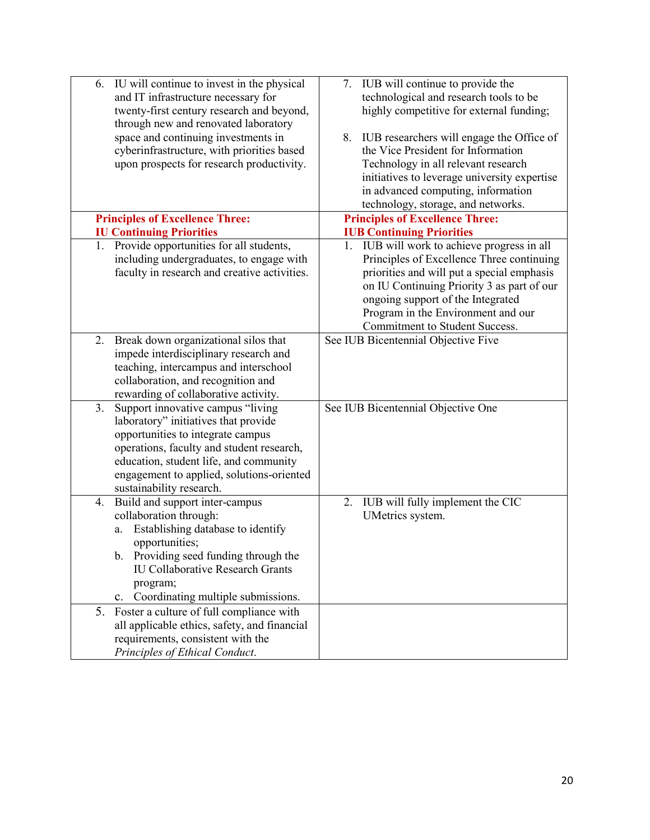| IU will continue to invest in the physical<br>6.                                | 7. IUB will continue to provide the             |
|---------------------------------------------------------------------------------|-------------------------------------------------|
| and IT infrastructure necessary for                                             | technological and research tools to be          |
| twenty-first century research and beyond,                                       | highly competitive for external funding;        |
| through new and renovated laboratory                                            |                                                 |
| space and continuing investments in                                             | IUB researchers will engage the Office of<br>8. |
| cyberinfrastructure, with priorities based                                      | the Vice President for Information              |
| upon prospects for research productivity.                                       | Technology in all relevant research             |
|                                                                                 | initiatives to leverage university expertise    |
|                                                                                 | in advanced computing, information              |
|                                                                                 | technology, storage, and networks.              |
| <b>Principles of Excellence Three:</b>                                          | <b>Principles of Excellence Three:</b>          |
| <b>IU Continuing Priorities</b>                                                 | <b>IUB Continuing Priorities</b>                |
| 1. Provide opportunities for all students,                                      | 1. IUB will work to achieve progress in all     |
| including undergraduates, to engage with                                        | Principles of Excellence Three continuing       |
| faculty in research and creative activities.                                    | priorities and will put a special emphasis      |
|                                                                                 | on IU Continuing Priority 3 as part of our      |
|                                                                                 | ongoing support of the Integrated               |
|                                                                                 | Program in the Environment and our              |
|                                                                                 | Commitment to Student Success.                  |
| Break down organizational silos that<br>2.                                      | See IUB Bicentennial Objective Five             |
|                                                                                 |                                                 |
| impede interdisciplinary research and<br>teaching, intercampus and interschool  |                                                 |
| collaboration, and recognition and                                              |                                                 |
|                                                                                 |                                                 |
| rewarding of collaborative activity.                                            |                                                 |
| Support innovative campus "living<br>3.<br>laboratory" initiatives that provide | See IUB Bicentennial Objective One              |
| opportunities to integrate campus                                               |                                                 |
|                                                                                 |                                                 |
| operations, faculty and student research,                                       |                                                 |
| education, student life, and community                                          |                                                 |
| engagement to applied, solutions-oriented                                       |                                                 |
| sustainability research.                                                        |                                                 |
| Build and support inter-campus<br>4.                                            | IUB will fully implement the CIC<br>2.          |
| collaboration through:                                                          | UMetrics system.                                |
| Establishing database to identify<br>a.                                         |                                                 |
| opportunities;                                                                  |                                                 |
| b. Providing seed funding through the                                           |                                                 |
| <b>IU Collaborative Research Grants</b>                                         |                                                 |
| program;                                                                        |                                                 |
| Coordinating multiple submissions.<br>$\mathbf{c}$ .                            |                                                 |
| Foster a culture of full compliance with<br>5.                                  |                                                 |
| all applicable ethics, safety, and financial                                    |                                                 |
| requirements, consistent with the                                               |                                                 |
| Principles of Ethical Conduct.                                                  |                                                 |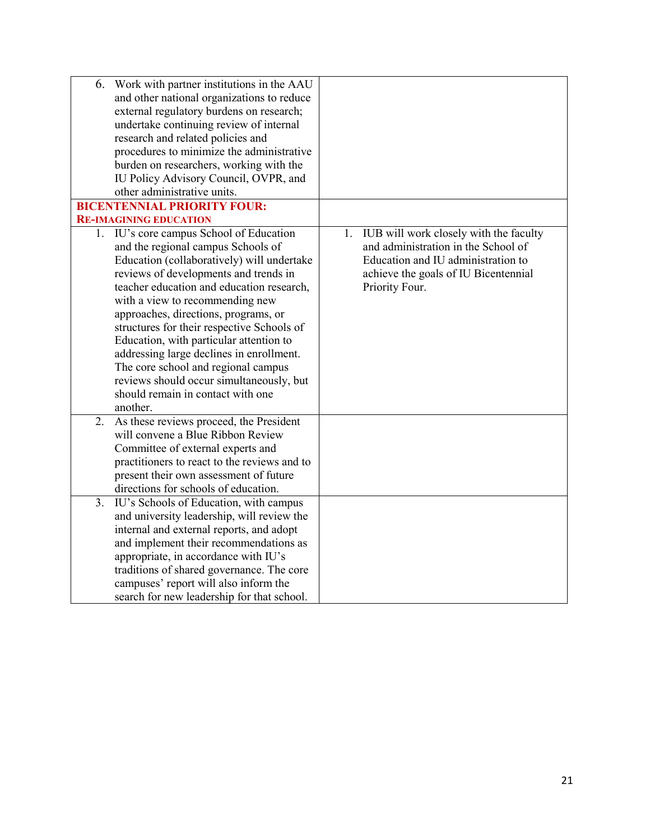| 6. | Work with partner institutions in the AAU<br>and other national organizations to reduce<br>external regulatory burdens on research;<br>undertake continuing review of internal<br>research and related policies and<br>procedures to minimize the administrative<br>burden on researchers, working with the                                                                                                                                                                                                                                                           |                                                                                                                                                                                     |
|----|-----------------------------------------------------------------------------------------------------------------------------------------------------------------------------------------------------------------------------------------------------------------------------------------------------------------------------------------------------------------------------------------------------------------------------------------------------------------------------------------------------------------------------------------------------------------------|-------------------------------------------------------------------------------------------------------------------------------------------------------------------------------------|
|    | IU Policy Advisory Council, OVPR, and<br>other administrative units.                                                                                                                                                                                                                                                                                                                                                                                                                                                                                                  |                                                                                                                                                                                     |
|    | <b>BICENTENNIAL PRIORITY FOUR:</b>                                                                                                                                                                                                                                                                                                                                                                                                                                                                                                                                    |                                                                                                                                                                                     |
|    | <b>RE-IMAGINING EDUCATION</b>                                                                                                                                                                                                                                                                                                                                                                                                                                                                                                                                         |                                                                                                                                                                                     |
|    | 1. IU's core campus School of Education<br>and the regional campus Schools of<br>Education (collaboratively) will undertake<br>reviews of developments and trends in<br>teacher education and education research,<br>with a view to recommending new<br>approaches, directions, programs, or<br>structures for their respective Schools of<br>Education, with particular attention to<br>addressing large declines in enrollment.<br>The core school and regional campus<br>reviews should occur simultaneously, but<br>should remain in contact with one<br>another. | IUB will work closely with the faculty<br>1.<br>and administration in the School of<br>Education and IU administration to<br>achieve the goals of IU Bicentennial<br>Priority Four. |
| 2. | As these reviews proceed, the President<br>will convene a Blue Ribbon Review<br>Committee of external experts and<br>practitioners to react to the reviews and to<br>present their own assessment of future<br>directions for schools of education.                                                                                                                                                                                                                                                                                                                   |                                                                                                                                                                                     |
| 3. | IU's Schools of Education, with campus<br>and university leadership, will review the<br>internal and external reports, and adopt<br>and implement their recommendations as<br>appropriate, in accordance with IU's<br>traditions of shared governance. The core<br>campuses' report will also inform the<br>search for new leadership for that school.                                                                                                                                                                                                                |                                                                                                                                                                                     |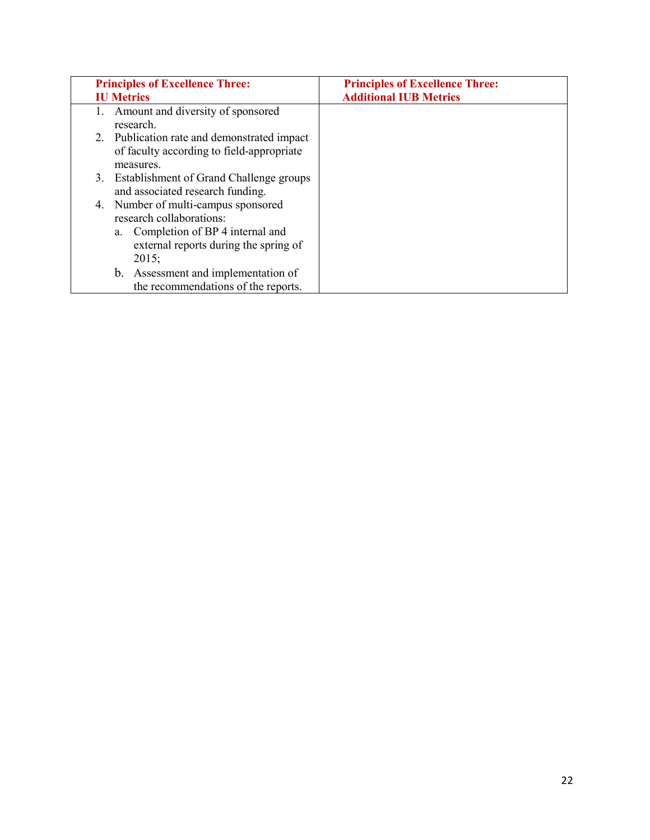| <b>Principles of Excellence Three:</b>                                                                                                                     | <b>Principles of Excellence Three:</b> |
|------------------------------------------------------------------------------------------------------------------------------------------------------------|----------------------------------------|
| <b>IU Metrics</b>                                                                                                                                          | <b>Additional IUB Metrics</b>          |
| Amount and diversity of sponsored<br>research.                                                                                                             |                                        |
| 2. Publication rate and demonstrated impact<br>of faculty according to field-appropriate<br>measures.                                                      |                                        |
| 3. Establishment of Grand Challenge groups<br>and associated research funding.                                                                             |                                        |
| Number of multi-campus sponsored<br>4.<br>research collaborations:<br>a. Completion of BP 4 internal and<br>external reports during the spring of<br>2015; |                                        |
| b. Assessment and implementation of<br>the recommendations of the reports.                                                                                 |                                        |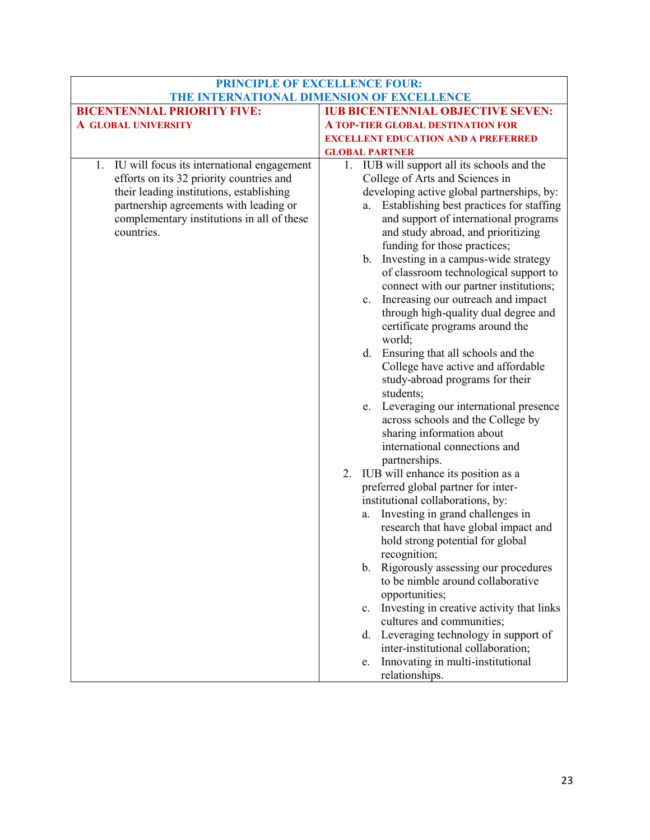| <b>IUB BICENTENNIAL OBJECTIVE SEVEN:</b>                                                                             |
|----------------------------------------------------------------------------------------------------------------------|
|                                                                                                                      |
|                                                                                                                      |
|                                                                                                                      |
| 1. IUB will support all its schools and the                                                                          |
|                                                                                                                      |
| developing active global partnerships, by:                                                                           |
| Establishing best practices for staffing                                                                             |
| and support of international programs                                                                                |
| and study abroad, and prioritizing                                                                                   |
|                                                                                                                      |
| b. Investing in a campus-wide strategy                                                                               |
| of classroom technological support to                                                                                |
| connect with our partner institutions;                                                                               |
| Increasing our outreach and impact                                                                                   |
| through high-quality dual degree and                                                                                 |
|                                                                                                                      |
|                                                                                                                      |
|                                                                                                                      |
| College have active and affordable                                                                                   |
|                                                                                                                      |
|                                                                                                                      |
| Leveraging our international presence                                                                                |
|                                                                                                                      |
|                                                                                                                      |
|                                                                                                                      |
|                                                                                                                      |
|                                                                                                                      |
|                                                                                                                      |
|                                                                                                                      |
|                                                                                                                      |
| research that have global impact and                                                                                 |
|                                                                                                                      |
|                                                                                                                      |
| Rigorously assessing our procedures                                                                                  |
|                                                                                                                      |
| Investing in creative activity that links                                                                            |
|                                                                                                                      |
| Leveraging technology in support of                                                                                  |
|                                                                                                                      |
|                                                                                                                      |
|                                                                                                                      |
| <b>EXCELLENT EDUCATION AND A PREFERRED</b><br>across schools and the College by<br>to be nimble around collaborative |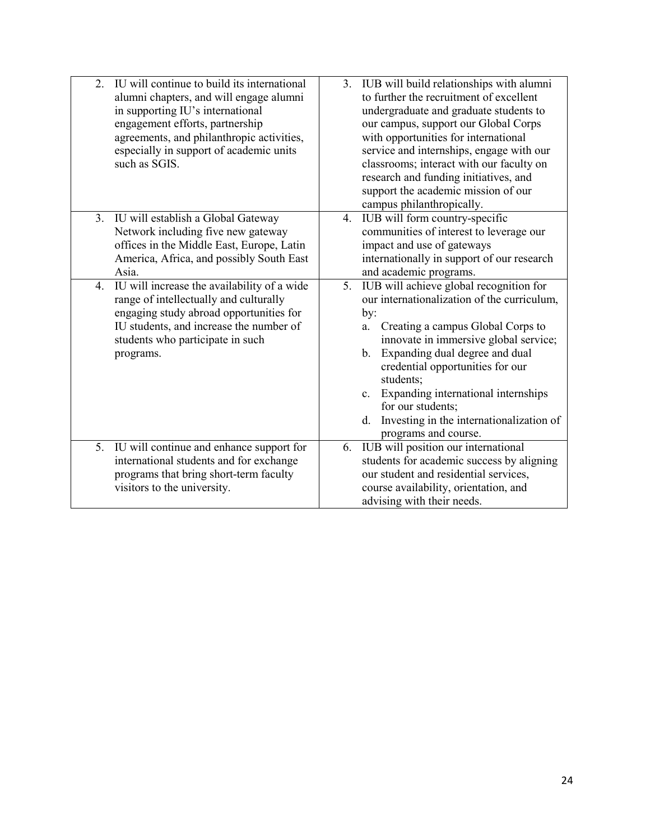| $\overline{2}$ . | IU will continue to build its international<br>alumni chapters, and will engage alumni<br>in supporting IU's international<br>engagement efforts, partnership<br>agreements, and philanthropic activities,<br>especially in support of academic units<br>such as SGIS. |    | 3. IUB will build relationships with alumni<br>to further the recruitment of excellent<br>undergraduate and graduate students to<br>our campus, support our Global Corps<br>with opportunities for international<br>service and internships, engage with our<br>classrooms; interact with our faculty on<br>research and funding initiatives, and<br>support the academic mission of our<br>campus philanthropically.          |
|------------------|------------------------------------------------------------------------------------------------------------------------------------------------------------------------------------------------------------------------------------------------------------------------|----|--------------------------------------------------------------------------------------------------------------------------------------------------------------------------------------------------------------------------------------------------------------------------------------------------------------------------------------------------------------------------------------------------------------------------------|
| 3.               | IU will establish a Global Gateway<br>Network including five new gateway<br>offices in the Middle East, Europe, Latin<br>America, Africa, and possibly South East<br>Asia.                                                                                             | 4. | IUB will form country-specific<br>communities of interest to leverage our<br>impact and use of gateways<br>internationally in support of our research<br>and academic programs.                                                                                                                                                                                                                                                |
| 4.               | IU will increase the availability of a wide<br>range of intellectually and culturally<br>engaging study abroad opportunities for<br>IU students, and increase the number of<br>students who participate in such<br>programs.                                           | 5. | IUB will achieve global recognition for<br>our internationalization of the curriculum,<br>by:<br>Creating a campus Global Corps to<br>a.<br>innovate in immersive global service;<br>Expanding dual degree and dual<br>$\mathbf b$ .<br>credential opportunities for our<br>students;<br>c. Expanding international internships<br>for our students;<br>Investing in the internationalization of<br>d.<br>programs and course. |
|                  | 5. IU will continue and enhance support for<br>international students and for exchange<br>programs that bring short-term faculty<br>visitors to the university.                                                                                                        | 6. | IUB will position our international<br>students for academic success by aligning<br>our student and residential services,<br>course availability, orientation, and<br>advising with their needs.                                                                                                                                                                                                                               |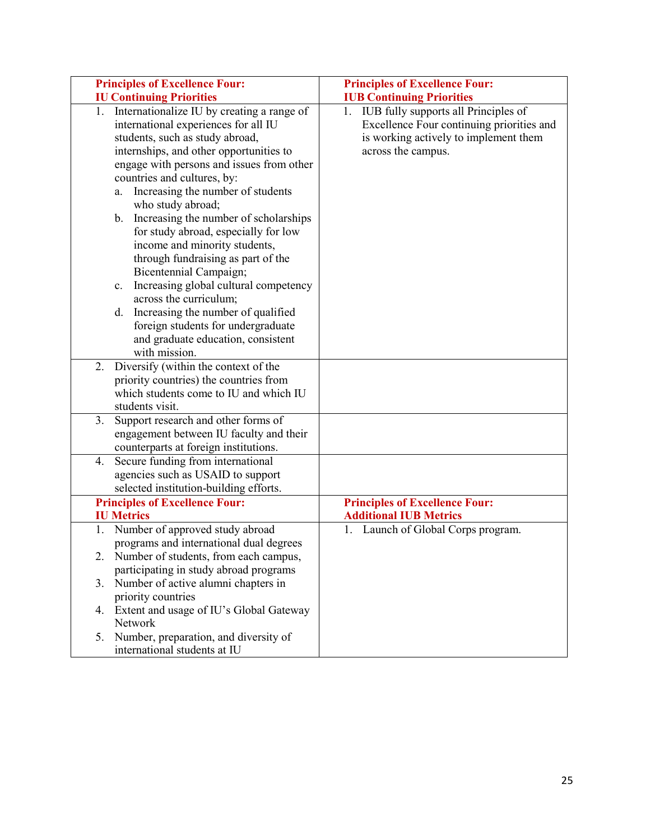| <b>Principles of Excellence Four:</b>                                                                                                                                                                                                                                                                                                                                                                                                                                                                                                                                                                                                                                 | <b>Principles of Excellence Four:</b>                                                                                                               |
|-----------------------------------------------------------------------------------------------------------------------------------------------------------------------------------------------------------------------------------------------------------------------------------------------------------------------------------------------------------------------------------------------------------------------------------------------------------------------------------------------------------------------------------------------------------------------------------------------------------------------------------------------------------------------|-----------------------------------------------------------------------------------------------------------------------------------------------------|
| <b>IU Continuing Priorities</b>                                                                                                                                                                                                                                                                                                                                                                                                                                                                                                                                                                                                                                       | <b>IUB Continuing Priorities</b>                                                                                                                    |
| Internationalize IU by creating a range of<br>1.<br>international experiences for all IU<br>students, such as study abroad,<br>internships, and other opportunities to<br>engage with persons and issues from other<br>countries and cultures, by:<br>Increasing the number of students<br>a.<br>who study abroad;<br>Increasing the number of scholarships<br>b.<br>for study abroad, especially for low<br>income and minority students,<br>through fundraising as part of the<br>Bicentennial Campaign;<br>Increasing global cultural competency<br>c.<br>across the curriculum;<br>Increasing the number of qualified<br>d.<br>foreign students for undergraduate | 1. IUB fully supports all Principles of<br>Excellence Four continuing priorities and<br>is working actively to implement them<br>across the campus. |
| and graduate education, consistent<br>with mission.                                                                                                                                                                                                                                                                                                                                                                                                                                                                                                                                                                                                                   |                                                                                                                                                     |
| 2.<br>Diversify (within the context of the                                                                                                                                                                                                                                                                                                                                                                                                                                                                                                                                                                                                                            |                                                                                                                                                     |
| priority countries) the countries from                                                                                                                                                                                                                                                                                                                                                                                                                                                                                                                                                                                                                                |                                                                                                                                                     |
| which students come to IU and which IU                                                                                                                                                                                                                                                                                                                                                                                                                                                                                                                                                                                                                                |                                                                                                                                                     |
| students visit.                                                                                                                                                                                                                                                                                                                                                                                                                                                                                                                                                                                                                                                       |                                                                                                                                                     |
| 3.<br>Support research and other forms of                                                                                                                                                                                                                                                                                                                                                                                                                                                                                                                                                                                                                             |                                                                                                                                                     |
| engagement between IU faculty and their                                                                                                                                                                                                                                                                                                                                                                                                                                                                                                                                                                                                                               |                                                                                                                                                     |
| counterparts at foreign institutions.                                                                                                                                                                                                                                                                                                                                                                                                                                                                                                                                                                                                                                 |                                                                                                                                                     |
| Secure funding from international<br>4.                                                                                                                                                                                                                                                                                                                                                                                                                                                                                                                                                                                                                               |                                                                                                                                                     |
| agencies such as USAID to support<br>selected institution-building efforts.                                                                                                                                                                                                                                                                                                                                                                                                                                                                                                                                                                                           |                                                                                                                                                     |
| <b>Principles of Excellence Four:</b>                                                                                                                                                                                                                                                                                                                                                                                                                                                                                                                                                                                                                                 | <b>Principles of Excellence Four:</b>                                                                                                               |
| <b>IU Metrics</b>                                                                                                                                                                                                                                                                                                                                                                                                                                                                                                                                                                                                                                                     | <b>Additional IUB Metrics</b>                                                                                                                       |
| Number of approved study abroad<br>1.                                                                                                                                                                                                                                                                                                                                                                                                                                                                                                                                                                                                                                 | 1. Launch of Global Corps program.                                                                                                                  |
| programs and international dual degrees                                                                                                                                                                                                                                                                                                                                                                                                                                                                                                                                                                                                                               |                                                                                                                                                     |
| 2.<br>Number of students, from each campus,                                                                                                                                                                                                                                                                                                                                                                                                                                                                                                                                                                                                                           |                                                                                                                                                     |
| participating in study abroad programs                                                                                                                                                                                                                                                                                                                                                                                                                                                                                                                                                                                                                                |                                                                                                                                                     |
| 3.<br>Number of active alumni chapters in                                                                                                                                                                                                                                                                                                                                                                                                                                                                                                                                                                                                                             |                                                                                                                                                     |
| priority countries                                                                                                                                                                                                                                                                                                                                                                                                                                                                                                                                                                                                                                                    |                                                                                                                                                     |
| 4. Extent and usage of IU's Global Gateway                                                                                                                                                                                                                                                                                                                                                                                                                                                                                                                                                                                                                            |                                                                                                                                                     |
| Network                                                                                                                                                                                                                                                                                                                                                                                                                                                                                                                                                                                                                                                               |                                                                                                                                                     |
| Number, preparation, and diversity of<br>5.<br>international students at IU                                                                                                                                                                                                                                                                                                                                                                                                                                                                                                                                                                                           |                                                                                                                                                     |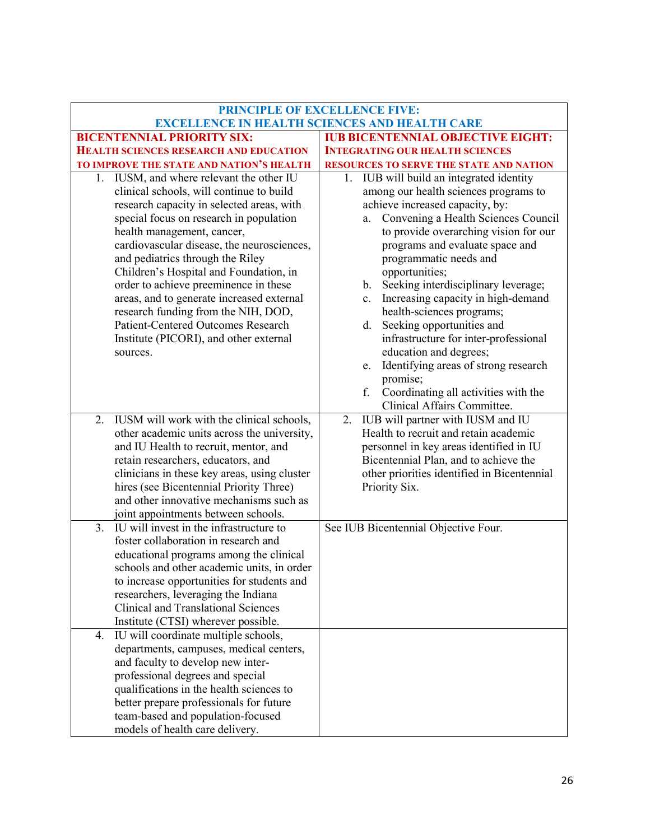|                                                                                      | <b>PRINCIPLE OF EXCELLENCE FIVE:</b>                                                             |
|--------------------------------------------------------------------------------------|--------------------------------------------------------------------------------------------------|
| <b>BICENTENNIAL PRIORITY SIX:</b>                                                    | <b>EXCELLENCE IN HEALTH SCIENCES AND HEALTH CARE</b><br><b>IUB BICENTENNIAL OBJECTIVE EIGHT:</b> |
| <b>HEALTH SCIENCES RESEARCH AND EDUCATION</b>                                        | <b>INTEGRATING OUR HEALTH SCIENCES</b>                                                           |
|                                                                                      |                                                                                                  |
| TO IMPROVE THE STATE AND NATION'S HEALTH<br>1. IUSM, and where relevant the other IU | RESOURCES TO SERVE THE STATE AND NATION<br>1. IUB will build an integrated identity              |
| clinical schools, will continue to build                                             | among our health sciences programs to                                                            |
| research capacity in selected areas, with                                            | achieve increased capacity, by:                                                                  |
| special focus on research in population                                              | Convening a Health Sciences Council<br>a.                                                        |
| health management, cancer,                                                           | to provide overarching vision for our                                                            |
| cardiovascular disease, the neurosciences,                                           | programs and evaluate space and                                                                  |
| and pediatrics through the Riley                                                     | programmatic needs and                                                                           |
| Children's Hospital and Foundation, in                                               | opportunities;                                                                                   |
| order to achieve preeminence in these                                                | b. Seeking interdisciplinary leverage;                                                           |
| areas, and to generate increased external                                            | Increasing capacity in high-demand<br>c.                                                         |
| research funding from the NIH, DOD,                                                  | health-sciences programs;                                                                        |
| <b>Patient-Centered Outcomes Research</b>                                            | Seeking opportunities and<br>d.                                                                  |
| Institute (PICORI), and other external                                               | infrastructure for inter-professional                                                            |
| sources.                                                                             | education and degrees;                                                                           |
|                                                                                      | Identifying areas of strong research<br>e.                                                       |
|                                                                                      | promise;                                                                                         |
|                                                                                      | f.<br>Coordinating all activities with the                                                       |
|                                                                                      | Clinical Affairs Committee.                                                                      |
| IUSM will work with the clinical schools,<br>2.                                      | IUB will partner with IUSM and IU<br>2.                                                          |
| other academic units across the university,                                          | Health to recruit and retain academic                                                            |
| and IU Health to recruit, mentor, and                                                | personnel in key areas identified in IU                                                          |
| retain researchers, educators, and                                                   | Bicentennial Plan, and to achieve the                                                            |
| clinicians in these key areas, using cluster                                         | other priorities identified in Bicentennial                                                      |
| hires (see Bicentennial Priority Three)                                              | Priority Six.                                                                                    |
| and other innovative mechanisms such as                                              |                                                                                                  |
| joint appointments between schools.<br>IU will invest in the infrastructure to<br>3. | See IUB Bicentennial Objective Four.                                                             |
| foster collaboration in research and                                                 |                                                                                                  |
| educational programs among the clinical                                              |                                                                                                  |
| schools and other academic units, in order                                           |                                                                                                  |
| to increase opportunities for students and                                           |                                                                                                  |
| researchers, leveraging the Indiana                                                  |                                                                                                  |
| <b>Clinical and Translational Sciences</b>                                           |                                                                                                  |
| Institute (CTSI) wherever possible.                                                  |                                                                                                  |
| IU will coordinate multiple schools,<br>4.                                           |                                                                                                  |
| departments, campuses, medical centers,                                              |                                                                                                  |
| and faculty to develop new inter-                                                    |                                                                                                  |
| professional degrees and special                                                     |                                                                                                  |
| qualifications in the health sciences to                                             |                                                                                                  |
| better prepare professionals for future                                              |                                                                                                  |
| team-based and population-focused                                                    |                                                                                                  |
| models of health care delivery.                                                      |                                                                                                  |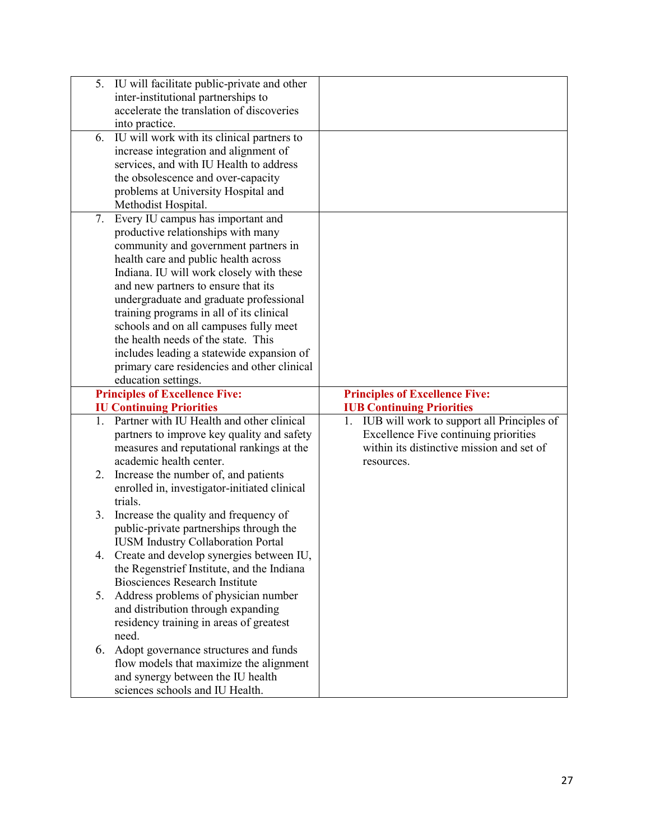| 5. | IU will facilitate public-private and other                                      |                                                                                   |
|----|----------------------------------------------------------------------------------|-----------------------------------------------------------------------------------|
|    | inter-institutional partnerships to                                              |                                                                                   |
|    | accelerate the translation of discoveries                                        |                                                                                   |
|    | into practice.                                                                   |                                                                                   |
| 6. | IU will work with its clinical partners to                                       |                                                                                   |
|    | increase integration and alignment of                                            |                                                                                   |
|    | services, and with IU Health to address                                          |                                                                                   |
|    | the obsolescence and over-capacity                                               |                                                                                   |
|    | problems at University Hospital and                                              |                                                                                   |
|    | Methodist Hospital.                                                              |                                                                                   |
| 7. | Every IU campus has important and                                                |                                                                                   |
|    | productive relationships with many                                               |                                                                                   |
|    | community and government partners in                                             |                                                                                   |
|    | health care and public health across                                             |                                                                                   |
|    | Indiana. IU will work closely with these                                         |                                                                                   |
|    | and new partners to ensure that its                                              |                                                                                   |
|    | undergraduate and graduate professional                                          |                                                                                   |
|    | training programs in all of its clinical                                         |                                                                                   |
|    | schools and on all campuses fully meet                                           |                                                                                   |
|    | the health needs of the state. This                                              |                                                                                   |
|    | includes leading a statewide expansion of                                        |                                                                                   |
|    | primary care residencies and other clinical                                      |                                                                                   |
|    | education settings.                                                              |                                                                                   |
|    |                                                                                  |                                                                                   |
|    |                                                                                  |                                                                                   |
|    | <b>Principles of Excellence Five:</b>                                            | <b>Principles of Excellence Five:</b>                                             |
| 1. | <b>IU Continuing Priorities</b><br>Partner with IU Health and other clinical     | <b>IUB Continuing Priorities</b><br>1. IUB will work to support all Principles of |
|    | partners to improve key quality and safety                                       | Excellence Five continuing priorities                                             |
|    |                                                                                  | within its distinctive mission and set of                                         |
|    | measures and reputational rankings at the<br>academic health center.             | resources.                                                                        |
| 2. | Increase the number of, and patients                                             |                                                                                   |
|    |                                                                                  |                                                                                   |
|    | enrolled in, investigator-initiated clinical<br>trials.                          |                                                                                   |
| 3. |                                                                                  |                                                                                   |
|    | Increase the quality and frequency of<br>public-private partnerships through the |                                                                                   |
|    | <b>IUSM Industry Collaboration Portal</b>                                        |                                                                                   |
| 4. | Create and develop synergies between IU,                                         |                                                                                   |
|    | the Regenstrief Institute, and the Indiana                                       |                                                                                   |
|    | <b>Biosciences Research Institute</b>                                            |                                                                                   |
| 5. | Address problems of physician number                                             |                                                                                   |
|    | and distribution through expanding                                               |                                                                                   |
|    | residency training in areas of greatest                                          |                                                                                   |
|    | need.                                                                            |                                                                                   |
| 6. |                                                                                  |                                                                                   |
|    | Adopt governance structures and funds                                            |                                                                                   |
|    | flow models that maximize the alignment<br>and synergy between the IU health     |                                                                                   |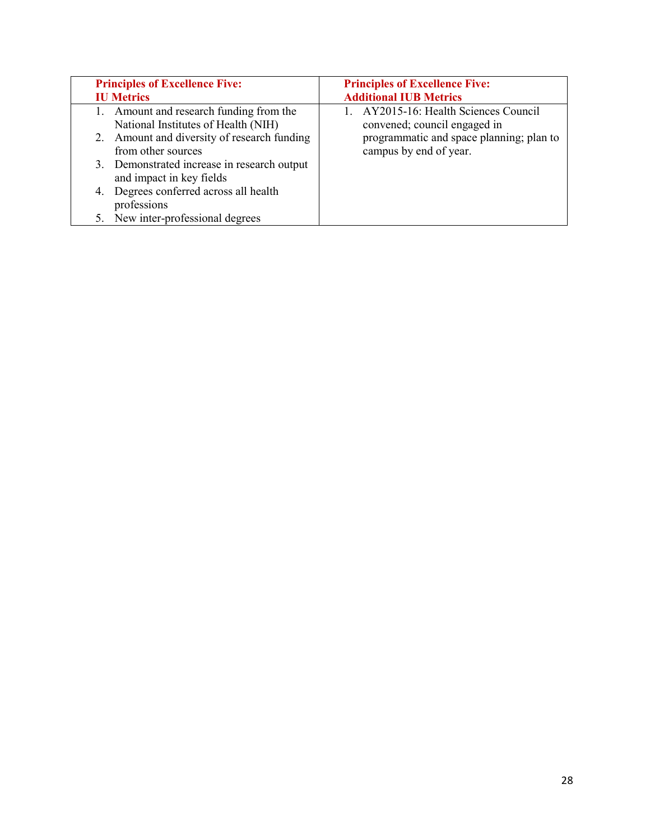| <b>Principles of Excellence Five:</b>                                                                                                                                                                                                                                                                                           | <b>Principles of Excellence Five:</b>                                                                                                       |
|---------------------------------------------------------------------------------------------------------------------------------------------------------------------------------------------------------------------------------------------------------------------------------------------------------------------------------|---------------------------------------------------------------------------------------------------------------------------------------------|
| <b>IU Metrics</b>                                                                                                                                                                                                                                                                                                               | <b>Additional IUB Metrics</b>                                                                                                               |
| 1. Amount and research funding from the<br>National Institutes of Health (NIH)<br>2. Amount and diversity of research funding<br>from other sources<br>3. Demonstrated increase in research output<br>and impact in key fields<br>4. Degrees conferred across all health<br>professions<br>New inter-professional degrees<br>5. | 1. AY2015-16: Health Sciences Council<br>convened; council engaged in<br>programmatic and space planning; plan to<br>campus by end of year. |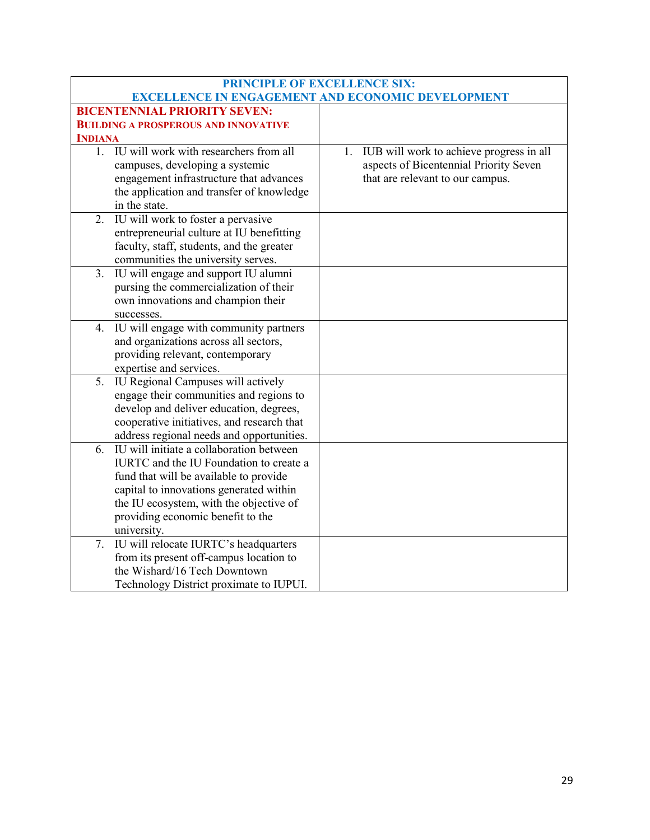| PRINCIPLE OF EXCELLENCE SIX: |                                             |                                                          |
|------------------------------|---------------------------------------------|----------------------------------------------------------|
|                              |                                             | <b>EXCELLENCE IN ENGAGEMENT AND ECONOMIC DEVELOPMENT</b> |
|                              | <b>BICENTENNIAL PRIORITY SEVEN:</b>         |                                                          |
|                              | <b>BUILDING A PROSPEROUS AND INNOVATIVE</b> |                                                          |
| <b>INDIANA</b>               |                                             |                                                          |
| 1.                           | IU will work with researchers from all      | IUB will work to achieve progress in all<br>1.           |
|                              | campuses, developing a systemic             | aspects of Bicentennial Priority Seven                   |
|                              | engagement infrastructure that advances     | that are relevant to our campus.                         |
|                              | the application and transfer of knowledge   |                                                          |
|                              | in the state.                               |                                                          |
| 2.                           | IU will work to foster a pervasive          |                                                          |
|                              | entrepreneurial culture at IU benefitting   |                                                          |
|                              | faculty, staff, students, and the greater   |                                                          |
|                              | communities the university serves.          |                                                          |
| 3.                           | IU will engage and support IU alumni        |                                                          |
|                              | pursing the commercialization of their      |                                                          |
|                              | own innovations and champion their          |                                                          |
|                              | successes.                                  |                                                          |
| 4.                           | IU will engage with community partners      |                                                          |
|                              | and organizations across all sectors,       |                                                          |
|                              | providing relevant, contemporary            |                                                          |
|                              | expertise and services.                     |                                                          |
| 5.                           | IU Regional Campuses will actively          |                                                          |
|                              | engage their communities and regions to     |                                                          |
|                              | develop and deliver education, degrees,     |                                                          |
|                              | cooperative initiatives, and research that  |                                                          |
|                              | address regional needs and opportunities.   |                                                          |
| 6.                           | IU will initiate a collaboration between    |                                                          |
|                              | IURTC and the IU Foundation to create a     |                                                          |
|                              | fund that will be available to provide      |                                                          |
|                              | capital to innovations generated within     |                                                          |
|                              | the IU ecosystem, with the objective of     |                                                          |
|                              | providing economic benefit to the           |                                                          |
|                              | university.                                 |                                                          |
| 7.                           | IU will relocate IURTC's headquarters       |                                                          |
|                              | from its present off-campus location to     |                                                          |
|                              | the Wishard/16 Tech Downtown                |                                                          |
|                              | Technology District proximate to IUPUI.     |                                                          |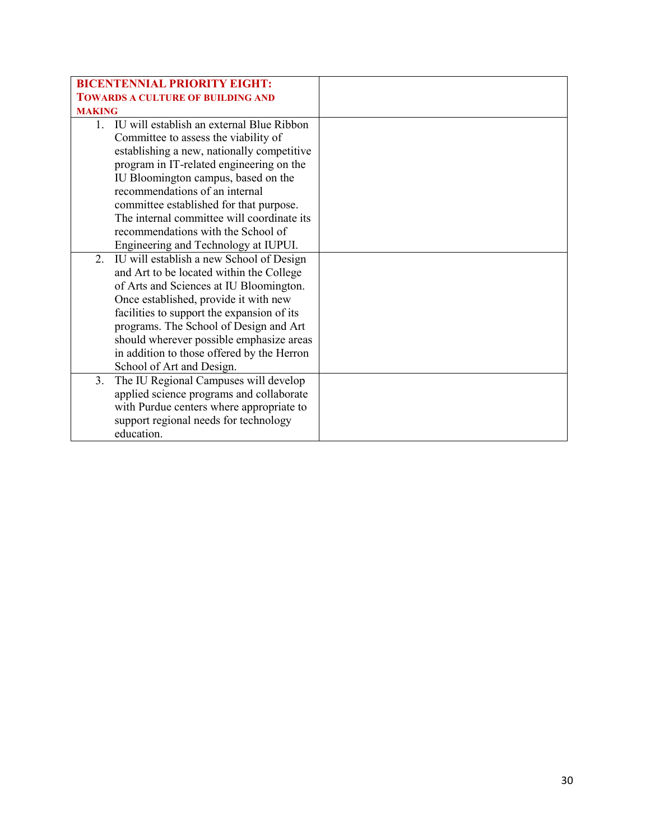| <b>BICENTENNIAL PRIORITY EIGHT:</b>            |  |
|------------------------------------------------|--|
| <b>TOWARDS A CULTURE OF BUILDING AND</b>       |  |
| <b>MAKING</b>                                  |  |
| 1. IU will establish an external Blue Ribbon   |  |
| Committee to assess the viability of           |  |
| establishing a new, nationally competitive     |  |
| program in IT-related engineering on the       |  |
| IU Bloomington campus, based on the            |  |
| recommendations of an internal                 |  |
| committee established for that purpose.        |  |
| The internal committee will coordinate its     |  |
| recommendations with the School of             |  |
| Engineering and Technology at IUPUI.           |  |
| IU will establish a new School of Design<br>2. |  |
| and Art to be located within the College       |  |
| of Arts and Sciences at IU Bloomington.        |  |
| Once established, provide it with new          |  |
| facilities to support the expansion of its     |  |
| programs. The School of Design and Art         |  |
| should wherever possible emphasize areas       |  |
| in addition to those offered by the Herron     |  |
| School of Art and Design.                      |  |
| The IU Regional Campuses will develop<br>3.    |  |
| applied science programs and collaborate       |  |
| with Purdue centers where appropriate to       |  |
| support regional needs for technology          |  |
| education.                                     |  |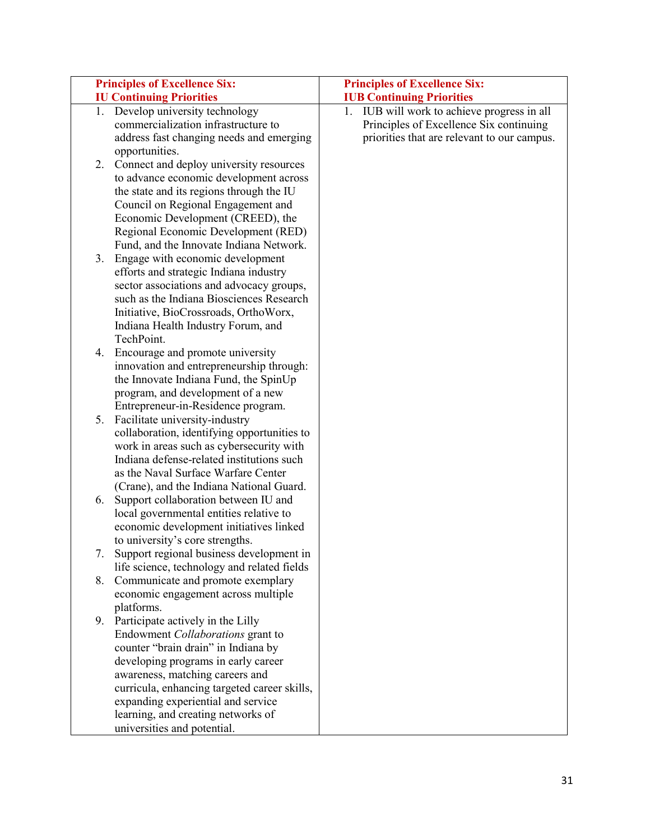| <b>Principles of Excellence Six:</b>                                                                                                                                                                                                                                                                                                                                                                                                                                                                                                                                                | <b>Principles of Excellence Six:</b>        |
|-------------------------------------------------------------------------------------------------------------------------------------------------------------------------------------------------------------------------------------------------------------------------------------------------------------------------------------------------------------------------------------------------------------------------------------------------------------------------------------------------------------------------------------------------------------------------------------|---------------------------------------------|
| <b>IU Continuing Priorities</b>                                                                                                                                                                                                                                                                                                                                                                                                                                                                                                                                                     | <b>IUB Continuing Priorities</b>            |
| 1. Develop university technology                                                                                                                                                                                                                                                                                                                                                                                                                                                                                                                                                    | 1. IUB will work to achieve progress in all |
| commercialization infrastructure to                                                                                                                                                                                                                                                                                                                                                                                                                                                                                                                                                 | Principles of Excellence Six continuing     |
| address fast changing needs and emerging                                                                                                                                                                                                                                                                                                                                                                                                                                                                                                                                            | priorities that are relevant to our campus. |
| opportunities.                                                                                                                                                                                                                                                                                                                                                                                                                                                                                                                                                                      |                                             |
| Connect and deploy university resources<br>2.                                                                                                                                                                                                                                                                                                                                                                                                                                                                                                                                       |                                             |
| to advance economic development across                                                                                                                                                                                                                                                                                                                                                                                                                                                                                                                                              |                                             |
| the state and its regions through the IU                                                                                                                                                                                                                                                                                                                                                                                                                                                                                                                                            |                                             |
| Council on Regional Engagement and                                                                                                                                                                                                                                                                                                                                                                                                                                                                                                                                                  |                                             |
| Economic Development (CREED), the                                                                                                                                                                                                                                                                                                                                                                                                                                                                                                                                                   |                                             |
| Regional Economic Development (RED)                                                                                                                                                                                                                                                                                                                                                                                                                                                                                                                                                 |                                             |
| Fund, and the Innovate Indiana Network.                                                                                                                                                                                                                                                                                                                                                                                                                                                                                                                                             |                                             |
| Engage with economic development<br>3.                                                                                                                                                                                                                                                                                                                                                                                                                                                                                                                                              |                                             |
| efforts and strategic Indiana industry                                                                                                                                                                                                                                                                                                                                                                                                                                                                                                                                              |                                             |
| sector associations and advocacy groups,                                                                                                                                                                                                                                                                                                                                                                                                                                                                                                                                            |                                             |
| such as the Indiana Biosciences Research                                                                                                                                                                                                                                                                                                                                                                                                                                                                                                                                            |                                             |
| Initiative, BioCrossroads, OrthoWorx,                                                                                                                                                                                                                                                                                                                                                                                                                                                                                                                                               |                                             |
| Indiana Health Industry Forum, and                                                                                                                                                                                                                                                                                                                                                                                                                                                                                                                                                  |                                             |
| TechPoint.                                                                                                                                                                                                                                                                                                                                                                                                                                                                                                                                                                          |                                             |
| Encourage and promote university<br>4.                                                                                                                                                                                                                                                                                                                                                                                                                                                                                                                                              |                                             |
| innovation and entrepreneurship through:                                                                                                                                                                                                                                                                                                                                                                                                                                                                                                                                            |                                             |
| the Innovate Indiana Fund, the SpinUp                                                                                                                                                                                                                                                                                                                                                                                                                                                                                                                                               |                                             |
| program, and development of a new                                                                                                                                                                                                                                                                                                                                                                                                                                                                                                                                                   |                                             |
| Entrepreneur-in-Residence program.                                                                                                                                                                                                                                                                                                                                                                                                                                                                                                                                                  |                                             |
| 5.<br>Facilitate university-industry                                                                                                                                                                                                                                                                                                                                                                                                                                                                                                                                                |                                             |
| collaboration, identifying opportunities to                                                                                                                                                                                                                                                                                                                                                                                                                                                                                                                                         |                                             |
| work in areas such as cybersecurity with                                                                                                                                                                                                                                                                                                                                                                                                                                                                                                                                            |                                             |
| Indiana defense-related institutions such                                                                                                                                                                                                                                                                                                                                                                                                                                                                                                                                           |                                             |
| as the Naval Surface Warfare Center                                                                                                                                                                                                                                                                                                                                                                                                                                                                                                                                                 |                                             |
| (Crane), and the Indiana National Guard.                                                                                                                                                                                                                                                                                                                                                                                                                                                                                                                                            |                                             |
| Support collaboration between IU and<br>6.                                                                                                                                                                                                                                                                                                                                                                                                                                                                                                                                          |                                             |
| local governmental entities relative to                                                                                                                                                                                                                                                                                                                                                                                                                                                                                                                                             |                                             |
| economic development initiatives linked                                                                                                                                                                                                                                                                                                                                                                                                                                                                                                                                             |                                             |
|                                                                                                                                                                                                                                                                                                                                                                                                                                                                                                                                                                                     |                                             |
|                                                                                                                                                                                                                                                                                                                                                                                                                                                                                                                                                                                     |                                             |
|                                                                                                                                                                                                                                                                                                                                                                                                                                                                                                                                                                                     |                                             |
|                                                                                                                                                                                                                                                                                                                                                                                                                                                                                                                                                                                     |                                             |
|                                                                                                                                                                                                                                                                                                                                                                                                                                                                                                                                                                                     |                                             |
|                                                                                                                                                                                                                                                                                                                                                                                                                                                                                                                                                                                     |                                             |
|                                                                                                                                                                                                                                                                                                                                                                                                                                                                                                                                                                                     |                                             |
|                                                                                                                                                                                                                                                                                                                                                                                                                                                                                                                                                                                     |                                             |
|                                                                                                                                                                                                                                                                                                                                                                                                                                                                                                                                                                                     |                                             |
|                                                                                                                                                                                                                                                                                                                                                                                                                                                                                                                                                                                     |                                             |
|                                                                                                                                                                                                                                                                                                                                                                                                                                                                                                                                                                                     |                                             |
|                                                                                                                                                                                                                                                                                                                                                                                                                                                                                                                                                                                     |                                             |
|                                                                                                                                                                                                                                                                                                                                                                                                                                                                                                                                                                                     |                                             |
|                                                                                                                                                                                                                                                                                                                                                                                                                                                                                                                                                                                     |                                             |
| to university's core strengths.<br>Support regional business development in<br>life science, technology and related fields<br>8.<br>Communicate and promote exemplary<br>economic engagement across multiple<br>platforms.<br>9. Participate actively in the Lilly<br>Endowment Collaborations grant to<br>counter "brain drain" in Indiana by<br>developing programs in early career<br>awareness, matching careers and<br>curricula, enhancing targeted career skills,<br>expanding experiential and service<br>learning, and creating networks of<br>universities and potential. |                                             |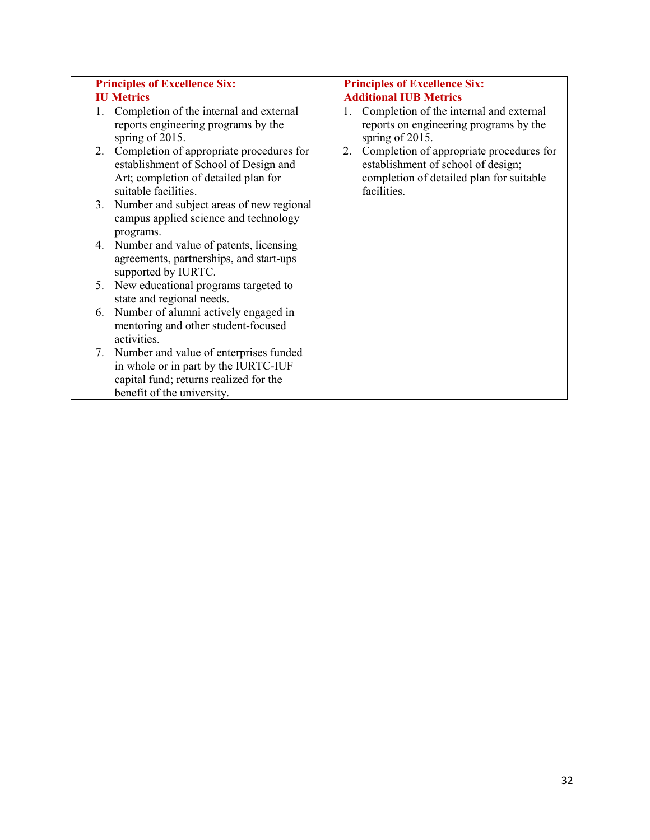| <b>Principles of Excellence Six:</b>                                                                                                                      | <b>Principles of Excellence Six:</b>                                                                                                            |
|-----------------------------------------------------------------------------------------------------------------------------------------------------------|-------------------------------------------------------------------------------------------------------------------------------------------------|
| <b>IU Metrics</b>                                                                                                                                         | <b>Additional IUB Metrics</b>                                                                                                                   |
| Completion of the internal and external<br>1.<br>reports engineering programs by the<br>spring of 2015.                                                   | 1. Completion of the internal and external<br>reports on engineering programs by the<br>spring of 2015.                                         |
| Completion of appropriate procedures for<br>2.<br>establishment of School of Design and<br>Art; completion of detailed plan for<br>suitable facilities.   | Completion of appropriate procedures for<br>2.<br>establishment of school of design;<br>completion of detailed plan for suitable<br>facilities. |
| Number and subject areas of new regional<br>3.<br>campus applied science and technology<br>programs.                                                      |                                                                                                                                                 |
| Number and value of patents, licensing<br>4.<br>agreements, partnerships, and start-ups<br>supported by IURTC.                                            |                                                                                                                                                 |
| New educational programs targeted to<br>5.<br>state and regional needs.                                                                                   |                                                                                                                                                 |
| Number of alumni actively engaged in<br>6.<br>mentoring and other student-focused<br>activities.                                                          |                                                                                                                                                 |
| 7. Number and value of enterprises funded<br>in whole or in part by the IURTC-IUF<br>capital fund; returns realized for the<br>benefit of the university. |                                                                                                                                                 |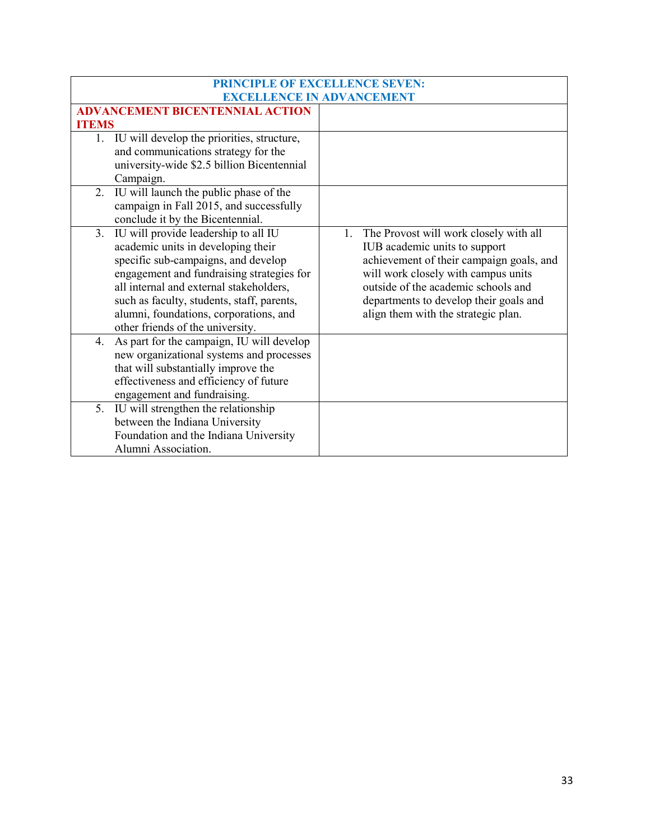| PRINCIPLE OF EXCELLENCE SEVEN:                  |                                           |  |
|-------------------------------------------------|-------------------------------------------|--|
|                                                 | <b>EXCELLENCE IN ADVANCEMENT</b>          |  |
| <b>ADVANCEMENT BICENTENNIAL ACTION</b>          |                                           |  |
| <b>ITEMS</b>                                    |                                           |  |
| 1. IU will develop the priorities, structure,   |                                           |  |
| and communications strategy for the             |                                           |  |
| university-wide \$2.5 billion Bicentennial      |                                           |  |
| Campaign.                                       |                                           |  |
| IU will launch the public phase of the<br>2.    |                                           |  |
| campaign in Fall 2015, and successfully         |                                           |  |
| conclude it by the Bicentennial.                |                                           |  |
| IU will provide leadership to all IU<br>3.      | 1. The Provost will work closely with all |  |
| academic units in developing their              | IUB academic units to support             |  |
| specific sub-campaigns, and develop             | achievement of their campaign goals, and  |  |
| engagement and fundraising strategies for       | will work closely with campus units       |  |
| all internal and external stakeholders,         | outside of the academic schools and       |  |
| such as faculty, students, staff, parents,      | departments to develop their goals and    |  |
| alumni, foundations, corporations, and          | align them with the strategic plan.       |  |
| other friends of the university.                |                                           |  |
| As part for the campaign, IU will develop<br>4. |                                           |  |
| new organizational systems and processes        |                                           |  |
| that will substantially improve the             |                                           |  |
| effectiveness and efficiency of future          |                                           |  |
| engagement and fundraising.                     |                                           |  |
| IU will strengthen the relationship<br>5.       |                                           |  |
| between the Indiana University                  |                                           |  |
| Foundation and the Indiana University           |                                           |  |
| Alumni Association.                             |                                           |  |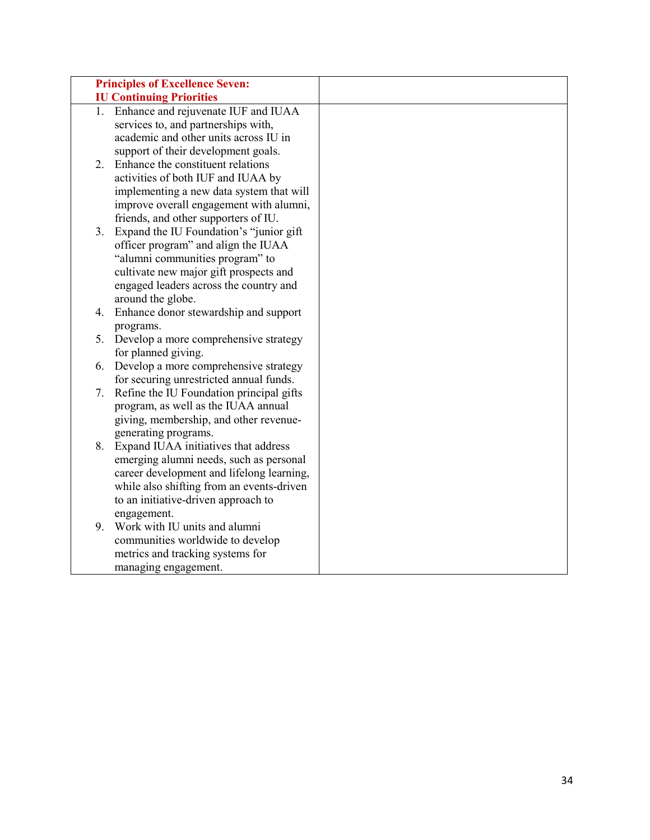|    | <b>Principles of Excellence Seven:</b>       |  |
|----|----------------------------------------------|--|
|    | <b>IU Continuing Priorities</b>              |  |
| 1. | Enhance and rejuvenate IUF and IUAA          |  |
|    | services to, and partnerships with,          |  |
|    | academic and other units across IU in        |  |
|    | support of their development goals.          |  |
| 2. | Enhance the constituent relations            |  |
|    | activities of both IUF and IUAA by           |  |
|    | implementing a new data system that will     |  |
|    | improve overall engagement with alumni,      |  |
|    | friends, and other supporters of IU.         |  |
| 3. | Expand the IU Foundation's "junior gift      |  |
|    | officer program" and align the IUAA          |  |
|    | "alumni communities program" to              |  |
|    | cultivate new major gift prospects and       |  |
|    | engaged leaders across the country and       |  |
|    | around the globe.                            |  |
| 4. | Enhance donor stewardship and support        |  |
|    | programs.                                    |  |
|    | 5. Develop a more comprehensive strategy     |  |
|    | for planned giving.                          |  |
| 6. | Develop a more comprehensive strategy        |  |
|    | for securing unrestricted annual funds.      |  |
| 7. | Refine the IU Foundation principal gifts     |  |
|    | program, as well as the IUAA annual          |  |
|    | giving, membership, and other revenue-       |  |
|    | generating programs.                         |  |
| 8. | Expand IUAA initiatives that address         |  |
|    | emerging alumni needs, such as personal      |  |
|    | career development and lifelong learning,    |  |
|    | while also shifting from an events-driven    |  |
|    | to an initiative-driven approach to          |  |
| 9. | engagement.<br>Work with IU units and alumni |  |
|    | communities worldwide to develop             |  |
|    | metrics and tracking systems for             |  |
|    |                                              |  |
|    | managing engagement.                         |  |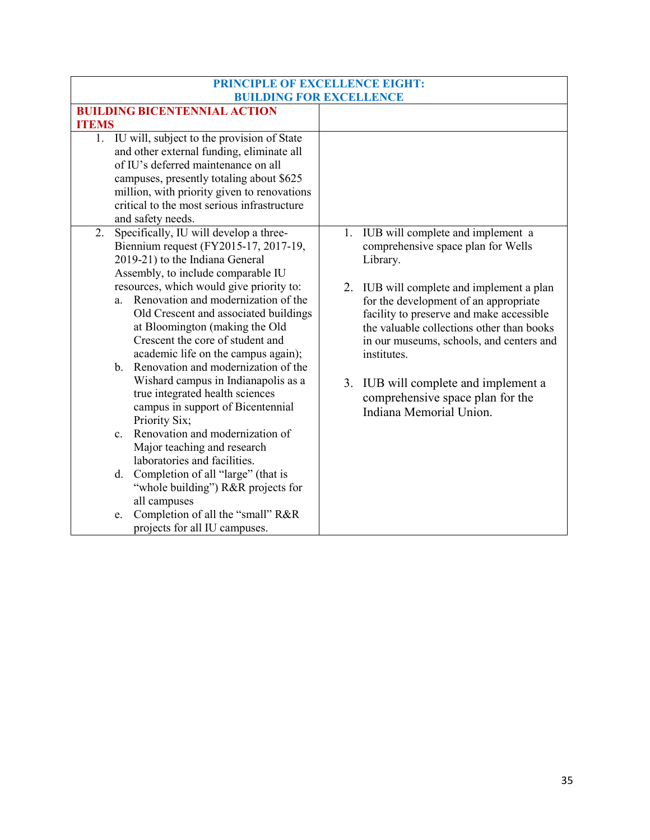| <b>PRINCIPLE OF EXCELLENCE EIGHT:</b>                                                                                                                                                                                                                                                            |                                                                                                                                                                                                                                        |
|--------------------------------------------------------------------------------------------------------------------------------------------------------------------------------------------------------------------------------------------------------------------------------------------------|----------------------------------------------------------------------------------------------------------------------------------------------------------------------------------------------------------------------------------------|
| <b>BUILDING FOR EXCELLENCE</b>                                                                                                                                                                                                                                                                   |                                                                                                                                                                                                                                        |
| <b>BUILDING BICENTENNIAL ACTION</b>                                                                                                                                                                                                                                                              |                                                                                                                                                                                                                                        |
| <b>ITEMS</b>                                                                                                                                                                                                                                                                                     |                                                                                                                                                                                                                                        |
| 1. IU will, subject to the provision of State<br>and other external funding, eliminate all<br>of IU's deferred maintenance on all<br>campuses, presently totaling about \$625<br>million, with priority given to renovations<br>critical to the most serious infrastructure<br>and safety needs. |                                                                                                                                                                                                                                        |
| Specifically, IU will develop a three-<br>2.<br>Biennium request (FY2015-17, 2017-19,<br>2019-21) to the Indiana General<br>Assembly, to include comparable IU                                                                                                                                   | IUB will complete and implement a<br>1.<br>comprehensive space plan for Wells<br>Library.                                                                                                                                              |
| resources, which would give priority to:<br>Renovation and modernization of the<br>a.<br>Old Crescent and associated buildings<br>at Bloomington (making the Old<br>Crescent the core of student and<br>academic life on the campus again);<br>b. Renovation and modernization of the            | 2. IUB will complete and implement a plan<br>for the development of an appropriate<br>facility to preserve and make accessible<br>the valuable collections other than books<br>in our museums, schools, and centers and<br>institutes. |
| Wishard campus in Indianapolis as a<br>true integrated health sciences<br>campus in support of Bicentennial<br>Priority Six;                                                                                                                                                                     | IUB will complete and implement a<br>3.<br>comprehensive space plan for the<br>Indiana Memorial Union.                                                                                                                                 |
| Renovation and modernization of<br>$\mathbf{c}$ .<br>Major teaching and research<br>laboratories and facilities.                                                                                                                                                                                 |                                                                                                                                                                                                                                        |
| Completion of all "large" (that is<br>d.<br>"whole building") R&R projects for<br>all campuses                                                                                                                                                                                                   |                                                                                                                                                                                                                                        |
| Completion of all the "small" R&R<br>e.<br>projects for all IU campuses.                                                                                                                                                                                                                         |                                                                                                                                                                                                                                        |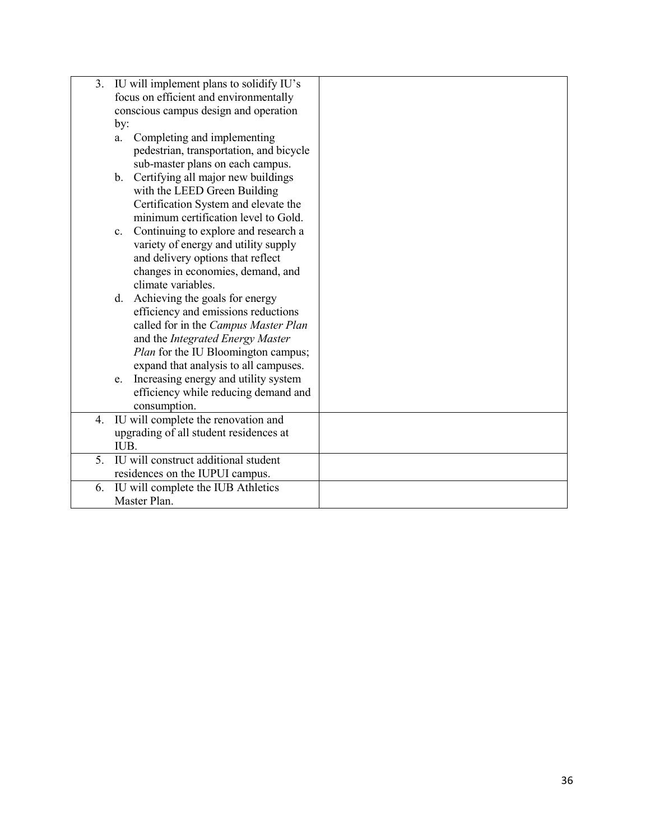| 3. | IU will implement plans to solidify IU's       |  |
|----|------------------------------------------------|--|
|    | focus on efficient and environmentally         |  |
|    | conscious campus design and operation          |  |
|    | by:                                            |  |
|    | Completing and implementing<br>a.              |  |
|    | pedestrian, transportation, and bicycle        |  |
|    | sub-master plans on each campus.               |  |
|    | b. Certifying all major new buildings          |  |
|    | with the LEED Green Building                   |  |
|    | Certification System and elevate the           |  |
|    | minimum certification level to Gold.           |  |
|    | Continuing to explore and research a<br>c.     |  |
|    | variety of energy and utility supply           |  |
|    | and delivery options that reflect              |  |
|    | changes in economies, demand, and              |  |
|    | climate variables.                             |  |
|    | d. Achieving the goals for energy              |  |
|    | efficiency and emissions reductions            |  |
|    | called for in the Campus Master Plan           |  |
|    | and the Integrated Energy Master               |  |
|    | Plan for the IU Bloomington campus;            |  |
|    | expand that analysis to all campuses.          |  |
|    | Increasing energy and utility system<br>e.     |  |
|    | efficiency while reducing demand and           |  |
|    | consumption.                                   |  |
| 4. | IU will complete the renovation and            |  |
|    | upgrading of all student residences at<br>IUB. |  |
| 5. | IU will construct additional student           |  |
|    | residences on the IUPUI campus.                |  |
| 6. | IU will complete the IUB Athletics             |  |
|    | Master Plan.                                   |  |
|    |                                                |  |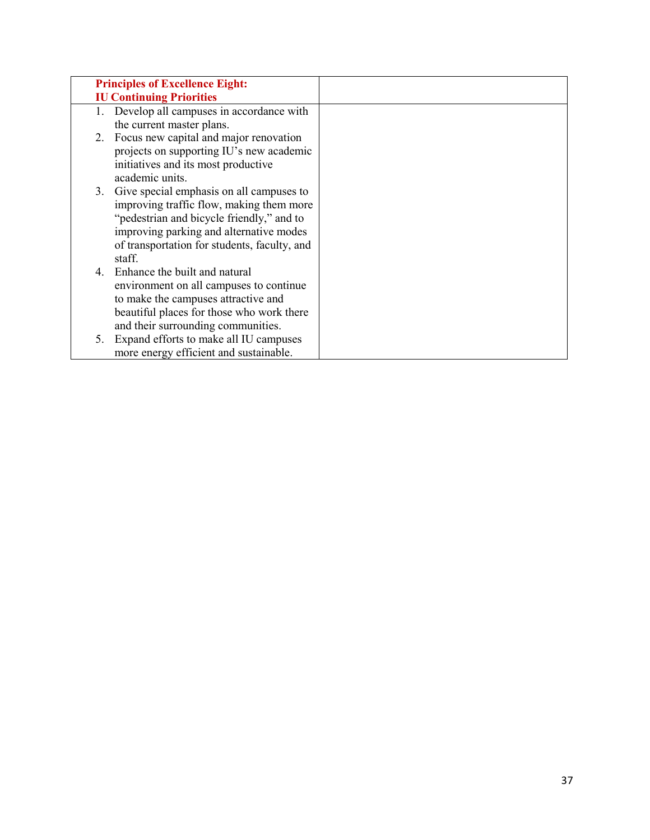|    | <b>Principles of Excellence Eight:</b>       |
|----|----------------------------------------------|
|    | <b>IU Continuing Priorities</b>              |
| 1. | Develop all campuses in accordance with      |
|    | the current master plans.                    |
| 2. | Focus new capital and major renovation       |
|    | projects on supporting IU's new academic     |
|    | initiatives and its most productive          |
|    | academic units.                              |
|    | 3. Give special emphasis on all campuses to  |
|    | improving traffic flow, making them more     |
|    | "pedestrian and bicycle friendly," and to    |
|    | improving parking and alternative modes      |
|    | of transportation for students, faculty, and |
|    | staff.                                       |
|    | 4. Enhance the built and natural             |
|    | environment on all campuses to continue      |
|    | to make the campuses attractive and          |
|    | beautiful places for those who work there    |
|    | and their surrounding communities.           |
| 5. | Expand efforts to make all IU campuses       |
|    | more energy efficient and sustainable.       |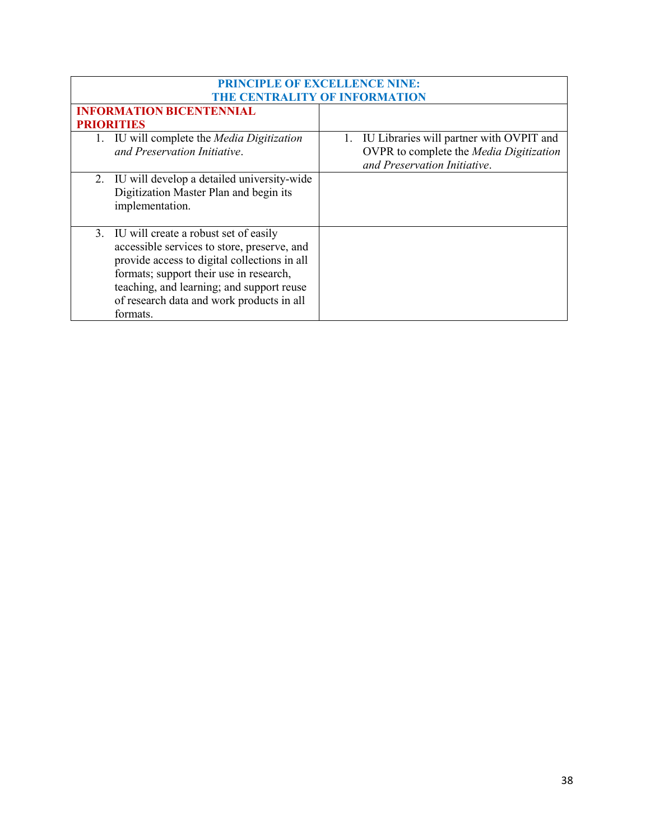| <b>PRINCIPLE OF EXCELLENCE NINE:</b> |                                                |    |                                          |
|--------------------------------------|------------------------------------------------|----|------------------------------------------|
| THE CENTRALITY OF INFORMATION        |                                                |    |                                          |
|                                      | <b>INFORMATION BICENTENNIAL</b>                |    |                                          |
|                                      | <b>PRIORITIES</b>                              |    |                                          |
|                                      | IU will complete the <i>Media Digitization</i> | 1. | IU Libraries will partner with OVPIT and |
|                                      | and Preservation Initiative.                   |    | OVPR to complete the Media Digitization  |
|                                      |                                                |    | and Preservation Initiative.             |
|                                      | 2. IU will develop a detailed university-wide  |    |                                          |
|                                      | Digitization Master Plan and begin its         |    |                                          |
|                                      | implementation.                                |    |                                          |
|                                      |                                                |    |                                          |
|                                      | 3. IU will create a robust set of easily       |    |                                          |
|                                      | accessible services to store, preserve, and    |    |                                          |
|                                      | provide access to digital collections in all   |    |                                          |
|                                      | formats; support their use in research,        |    |                                          |
|                                      | teaching, and learning; and support reuse      |    |                                          |
|                                      | of research data and work products in all      |    |                                          |
|                                      | formats.                                       |    |                                          |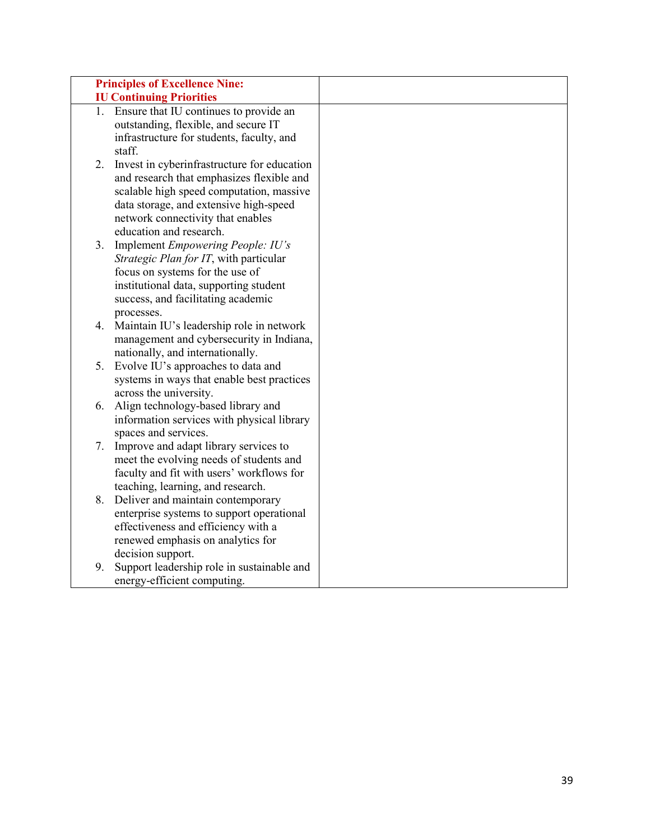|    | <b>Principles of Excellence Nine:</b>                                          |  |
|----|--------------------------------------------------------------------------------|--|
|    | <b>IU Continuing Priorities</b>                                                |  |
| 1. | Ensure that IU continues to provide an<br>outstanding, flexible, and secure IT |  |
|    | infrastructure for students, faculty, and                                      |  |
|    | staff.                                                                         |  |
| 2. | Invest in cyberinfrastructure for education                                    |  |
|    | and research that emphasizes flexible and                                      |  |
|    | scalable high speed computation, massive                                       |  |
|    | data storage, and extensive high-speed                                         |  |
|    | network connectivity that enables                                              |  |
|    | education and research.                                                        |  |
| 3. | Implement Empowering People: IU's                                              |  |
|    | Strategic Plan for IT, with particular                                         |  |
|    | focus on systems for the use of                                                |  |
|    | institutional data, supporting student                                         |  |
|    | success, and facilitating academic                                             |  |
|    | processes.                                                                     |  |
| 4. | Maintain IU's leadership role in network                                       |  |
|    | management and cybersecurity in Indiana,                                       |  |
|    | nationally, and internationally.                                               |  |
|    | 5. Evolve IU's approaches to data and                                          |  |
|    | systems in ways that enable best practices                                     |  |
|    | across the university.                                                         |  |
| 6. | Align technology-based library and                                             |  |
|    | information services with physical library                                     |  |
|    | spaces and services.                                                           |  |
| 7. | Improve and adapt library services to                                          |  |
|    | meet the evolving needs of students and                                        |  |
|    | faculty and fit with users' workflows for                                      |  |
|    | teaching, learning, and research.                                              |  |
|    | 8. Deliver and maintain contemporary                                           |  |
|    | enterprise systems to support operational                                      |  |
|    | effectiveness and efficiency with a                                            |  |
|    | renewed emphasis on analytics for                                              |  |
|    | decision support.                                                              |  |
| 9. | Support leadership role in sustainable and                                     |  |
|    | energy-efficient computing.                                                    |  |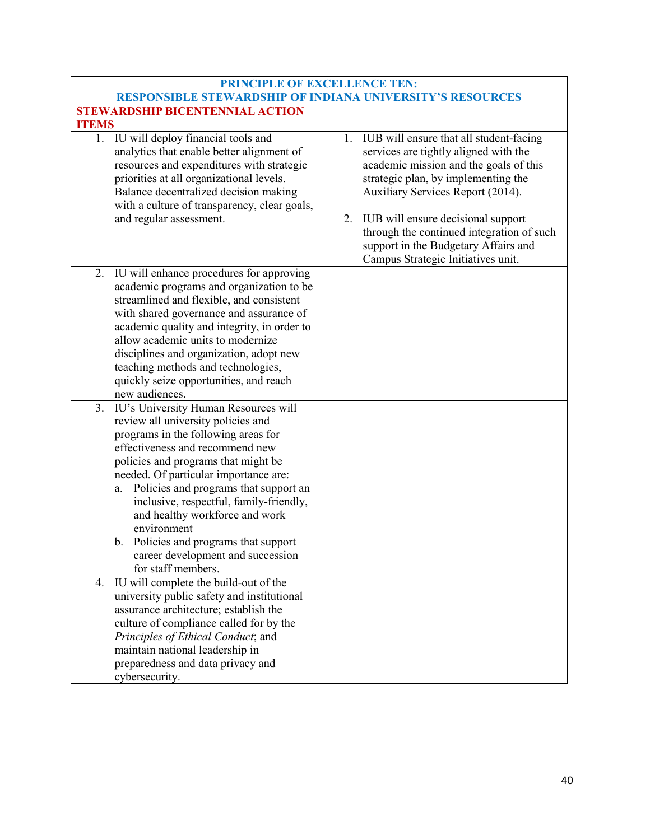| <b>PRINCIPLE OF EXCELLENCE TEN:</b>                                                                                                                                                                                                                                                                                                                                                                                                                                                    |                                                                                                                                                                                                                                                                                                                                                                                  |  |  |  |  |
|----------------------------------------------------------------------------------------------------------------------------------------------------------------------------------------------------------------------------------------------------------------------------------------------------------------------------------------------------------------------------------------------------------------------------------------------------------------------------------------|----------------------------------------------------------------------------------------------------------------------------------------------------------------------------------------------------------------------------------------------------------------------------------------------------------------------------------------------------------------------------------|--|--|--|--|
| <b>RESPONSIBLE STEWARDSHIP OF INDIANA UNIVERSITY'S RESOURCES</b>                                                                                                                                                                                                                                                                                                                                                                                                                       |                                                                                                                                                                                                                                                                                                                                                                                  |  |  |  |  |
| <b>STEWARDSHIP BICENTENNIAL ACTION</b>                                                                                                                                                                                                                                                                                                                                                                                                                                                 |                                                                                                                                                                                                                                                                                                                                                                                  |  |  |  |  |
| <b>ITEMS</b>                                                                                                                                                                                                                                                                                                                                                                                                                                                                           |                                                                                                                                                                                                                                                                                                                                                                                  |  |  |  |  |
| 1. IU will deploy financial tools and<br>analytics that enable better alignment of<br>resources and expenditures with strategic<br>priorities at all organizational levels.<br>Balance decentralized decision making<br>with a culture of transparency, clear goals,<br>and regular assessment.                                                                                                                                                                                        | 1. IUB will ensure that all student-facing<br>services are tightly aligned with the<br>academic mission and the goals of this<br>strategic plan, by implementing the<br>Auxiliary Services Report (2014).<br>IUB will ensure decisional support<br>2.<br>through the continued integration of such<br>support in the Budgetary Affairs and<br>Campus Strategic Initiatives unit. |  |  |  |  |
| IU will enhance procedures for approving<br>2.<br>academic programs and organization to be<br>streamlined and flexible, and consistent<br>with shared governance and assurance of<br>academic quality and integrity, in order to<br>allow academic units to modernize<br>disciplines and organization, adopt new<br>teaching methods and technologies,<br>quickly seize opportunities, and reach<br>new audiences.                                                                     |                                                                                                                                                                                                                                                                                                                                                                                  |  |  |  |  |
| IU's University Human Resources will<br>3.<br>review all university policies and<br>programs in the following areas for<br>effectiveness and recommend new<br>policies and programs that might be<br>needed. Of particular importance are:<br>a. Policies and programs that support an<br>inclusive, respectful, family-friendly,<br>and healthy workforce and work<br>environment<br>b. Policies and programs that support<br>career development and succession<br>for staff members. |                                                                                                                                                                                                                                                                                                                                                                                  |  |  |  |  |
| IU will complete the build-out of the<br>4.<br>university public safety and institutional<br>assurance architecture; establish the<br>culture of compliance called for by the<br>Principles of Ethical Conduct; and<br>maintain national leadership in<br>preparedness and data privacy and<br>cybersecurity.                                                                                                                                                                          |                                                                                                                                                                                                                                                                                                                                                                                  |  |  |  |  |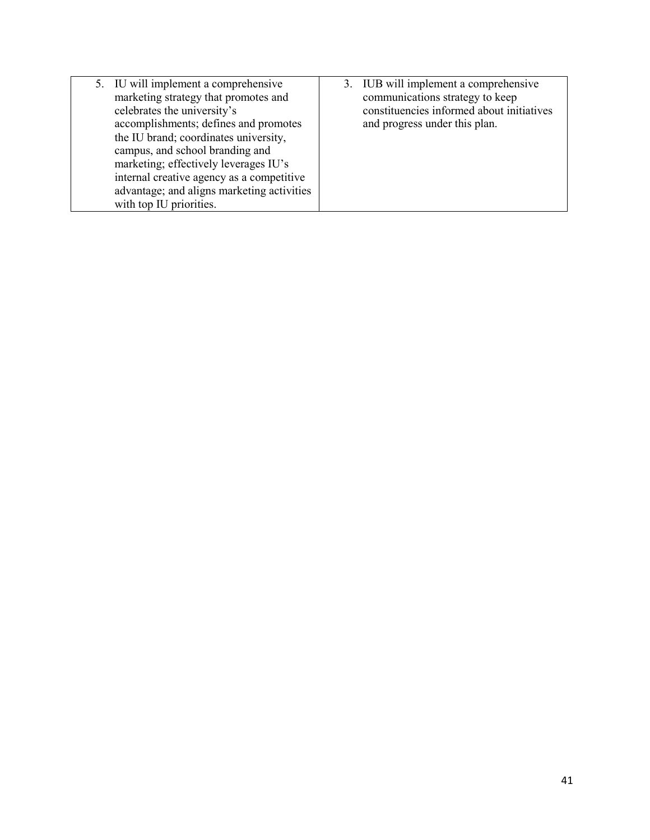| 5. IU will implement a comprehensive       | 3. IUB will implement a comprehensive     |
|--------------------------------------------|-------------------------------------------|
| marketing strategy that promotes and       | communications strategy to keep           |
| celebrates the university's                | constituencies informed about initiatives |
| accomplishments; defines and promotes      | and progress under this plan.             |
| the IU brand; coordinates university,      |                                           |
| campus, and school branding and            |                                           |
| marketing; effectively leverages IU's      |                                           |
| internal creative agency as a competitive  |                                           |
| advantage; and aligns marketing activities |                                           |
| with top IU priorities.                    |                                           |
|                                            |                                           |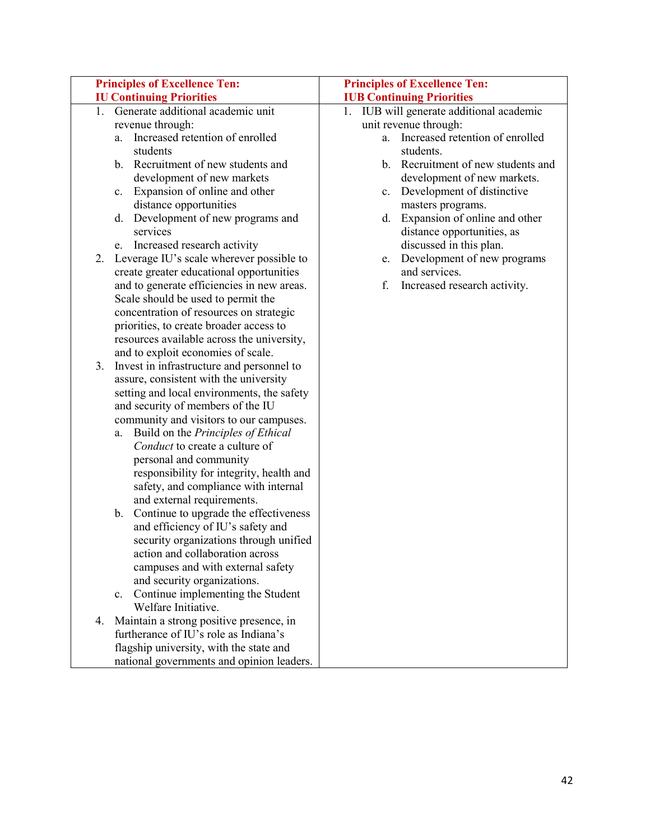|    | <b>Principles of Excellence Ten:</b>             | <b>Principles of Excellence Ten:</b>     |
|----|--------------------------------------------------|------------------------------------------|
|    | <b>IU Continuing Priorities</b>                  | <b>IUB Continuing Priorities</b>         |
|    | 1. Generate additional academic unit             | 1. IUB will generate additional academic |
|    | revenue through:                                 | unit revenue through:                    |
|    | a. Increased retention of enrolled               | a. Increased retention of enrolled       |
|    | students                                         | students.                                |
|    | b. Recruitment of new students and               | b. Recruitment of new students and       |
|    | development of new markets                       | development of new markets.              |
|    | Expansion of online and other<br>c.              | Development of distinctive<br>c.         |
|    | distance opportunities                           | masters programs.                        |
|    | Development of new programs and<br>d.            | Expansion of online and other<br>d.      |
|    | services                                         | distance opportunities, as               |
|    | e. Increased research activity                   | discussed in this plan.                  |
| 2. | Leverage IU's scale wherever possible to         | Development of new programs<br>e.        |
|    | create greater educational opportunities         | and services.                            |
|    | and to generate efficiencies in new areas.       | Increased research activity.<br>f.       |
|    | Scale should be used to permit the               |                                          |
|    | concentration of resources on strategic          |                                          |
|    | priorities, to create broader access to          |                                          |
|    | resources available across the university,       |                                          |
|    | and to exploit economies of scale.               |                                          |
| 3. | Invest in infrastructure and personnel to        |                                          |
|    | assure, consistent with the university           |                                          |
|    | setting and local environments, the safety       |                                          |
|    | and security of members of the IU                |                                          |
|    | community and visitors to our campuses.          |                                          |
|    | a. Build on the Principles of Ethical            |                                          |
|    | Conduct to create a culture of                   |                                          |
|    | personal and community                           |                                          |
|    | responsibility for integrity, health and         |                                          |
|    | safety, and compliance with internal             |                                          |
|    | and external requirements.                       |                                          |
|    | Continue to upgrade the effectiveness<br>b.      |                                          |
|    | and efficiency of IU's safety and                |                                          |
|    | security organizations through unified           |                                          |
|    | action and collaboration across                  |                                          |
|    | campuses and with external safety                |                                          |
|    | and security organizations.                      |                                          |
|    | Continue implementing the Student<br>$c_{\cdot}$ |                                          |
|    | Welfare Initiative.                              |                                          |
| 4. | Maintain a strong positive presence, in          |                                          |
|    | furtherance of IU's role as Indiana's            |                                          |
|    | flagship university, with the state and          |                                          |
|    | national governments and opinion leaders.        |                                          |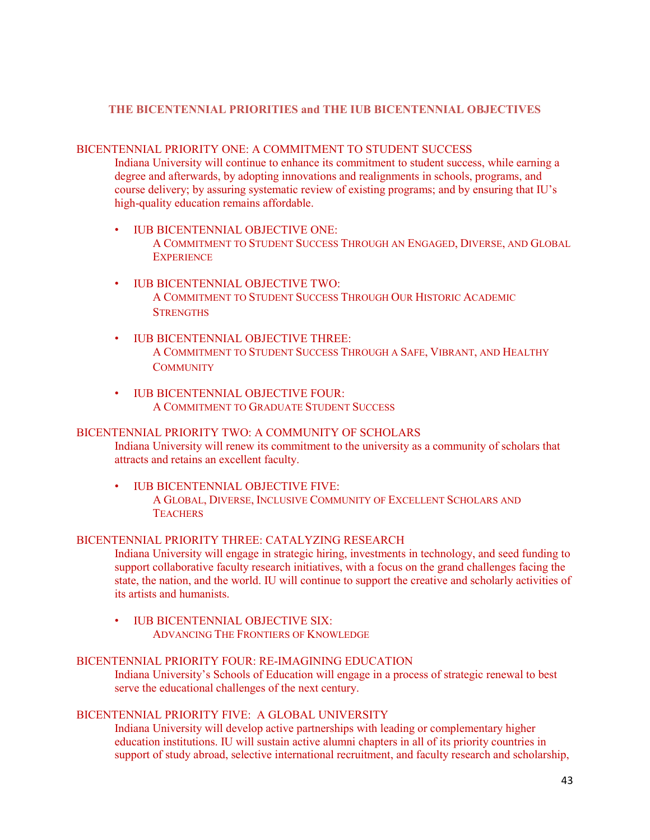#### **THE BICENTENNIAL PRIORITIES and THE IUB BICENTENNIAL OBJECTIVES**

#### BICENTENNIAL PRIORITY ONE: A COMMITMENT TO STUDENT SUCCESS

Indiana University will continue to enhance its commitment to student success, while earning a degree and afterwards, by adopting innovations and realignments in schools, programs, and course delivery; by assuring systematic review of existing programs; and by ensuring that IU's high-quality education remains affordable.

- IUB BICENTENNIAL OBJECTIVE ONE: A COMMITMENT TO STUDENT SUCCESS THROUGH AN ENGAGED, DIVERSE, AND GLOBAL **EXPERIENCE**
- IUB BICENTENNIAL OBJECTIVE TWO: A COMMITMENT TO STUDENT SUCCESS THROUGH OUR HISTORIC ACADEMIC **STRENGTHS**
- IUB BICENTENNIAL OBJECTIVE THREE: A COMMITMENT TO STUDENT SUCCESS THROUGH A SAFE, VIBRANT, AND HEALTHY **COMMUNITY**
- IUB BICENTENNIAL OBJECTIVE FOUR: A COMMITMENT TO GRADUATE STUDENT SUCCESS

#### BICENTENNIAL PRIORITY TWO: A COMMUNITY OF SCHOLARS

Indiana University will renew its commitment to the university as a community of scholars that attracts and retains an excellent faculty.

• IUB BICENTENNIAL OBJECTIVE FIVE: A GLOBAL, DIVERSE, INCLUSIVE COMMUNITY OF EXCELLENT SCHOLARS AND **TEACHERS** 

#### BICENTENNIAL PRIORITY THREE: CATALYZING RESEARCH

Indiana University will engage in strategic hiring, investments in technology, and seed funding to support collaborative faculty research initiatives, with a focus on the grand challenges facing the state, the nation, and the world. IU will continue to support the creative and scholarly activities of its artists and humanists.

• IUB BICENTENNIAL OBJECTIVE SIX: ADVANCING THE FRONTIERS OF KNOWLEDGE

#### BICENTENNIAL PRIORITY FOUR: RE-IMAGINING EDUCATION

Indiana University's Schools of Education will engage in a process of strategic renewal to best serve the educational challenges of the next century.

#### BICENTENNIAL PRIORITY FIVE: A GLOBAL UNIVERSITY

Indiana University will develop active partnerships with leading or complementary higher education institutions. IU will sustain active alumni chapters in all of its priority countries in support of study abroad, selective international recruitment, and faculty research and scholarship,